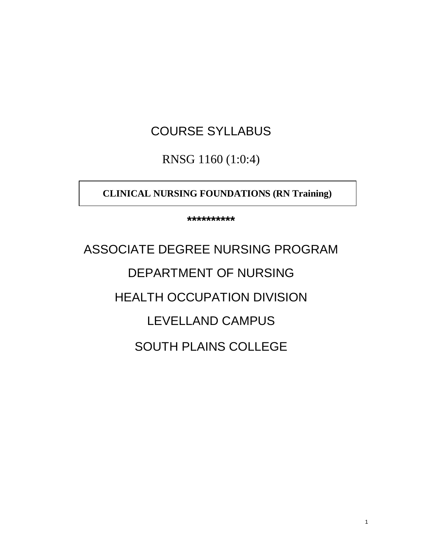# COURSE SYLLABUS

RNSG 1160 (1:0:4)

**CLINICAL NURSING FOUNDATIONS (RN Training)**

**\*\*\*\*\*\*\*\*\*\***

# ASSOCIATE DEGREE NURSING PROGRAM DEPARTMENT OF NURSING HEALTH OCCUPATION DIVISION LEVELLAND CAMPUS SOUTH PLAINS COLLEGE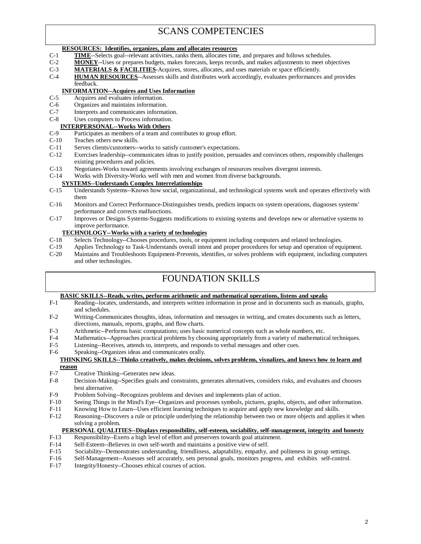### SCANS COMPETENCIES

#### **RESOURCES: Identifies, organizes, plans and allocates resources**

- C-1 **TIME**--Selects goal--relevant activities, ranks them, allocates time, and prepares and follows schedules.<br>C-2 **MONEY**--Uses or prepares budgets, makes forecasts, keeps records, and makes adjustments to meet obj
- MONEY--Uses or prepares budgets, makes forecasts, keeps records, and makes adjustments to meet objectives
- C-3 **MATERIALS & FACILITIES**-Acquires, stores, allocates, and uses materials or space efficiently.
- C-4 **HUMAN RESOURCES**--Assesses skills and distributes work accordingly, evaluates performances and provides feedback.

#### **INFORMATION--Acquires and Uses Information**

- C-5 Acquires and evaluates information.<br>C-6 Organizes and maintains information
- Organizes and maintains information.
- C-7 Interprets and communicates information.<br>C-8 Uses computers to Process information.
- Uses computers to Process information.

# **INTERPERSONAL--Works With Others**<br>C-9 Participates as members of a team and of

- C-9 Participates as members of a team and contributes to group effort.<br>C-10 Teaches others new skills.
- C-10 Teaches others new skills.<br>C-11 Serves clients/customers--
- C-11 Serves clients/customers--works to satisfy customer's expectations.<br>C-12 Exercises leadership--communicates ideas to justify position, persual
- Exercises leadership--communicates ideas to justify position, persuades and convinces others, responsibly challenges existing procedures and policies.
- C-13 Negotiates-Works toward agreements involving exchanges of resources resolves divergent interests.
- C-14 Works with Diversity-Works well with men and women from diverse backgrounds.

# **SYSTEMS--Understands Complex Interrelationships**<br>C-15 Understands Systems--Knows how social, organization

- Understands Systems--Knows how social, organizational, and technological systems work and operates effectively with them
- C-16 Monitors and Correct Performance-Distinguishes trends, predicts impacts on system operations, diagnoses systems' performance and corrects malfunctions.
- C-17 Improves or Designs Systems-Suggests modifications to existing systems and develops new or alternative systems to improve performance.

#### **TECHNOLOGY--Works with a variety of technologies**

- C-18 Selects Technology--Chooses procedures, tools, or equipment including computers and related technologies.
- C-19 Applies Technology to Task-Understands overall intent and proper procedures for setup and operation of equipment.<br>C-20 Maintains and Troubleshoots Equipment-Prevents, identifies, or solves problems with equipment, inc
- Maintains and Troubleshoots Equipment-Prevents, identifies, or solves problems with equipment, including computers and other technologies.

## FOUNDATION SKILLS

#### **BASIC SKILLS--Reads, writes, performs arithmetic and mathematical operations, listens and speaks**

- F-1 Reading--locates, understands, and interprets written information in prose and in documents such as manuals, graphs, and schedules.
- F-2 Writing-Communicates thoughts, ideas, information and messages in writing, and creates documents such as letters, directions, manuals, reports, graphs, and flow charts.
- F-3 Arithmetic--Performs basic computations; uses basic numerical concepts such as whole numbers, etc.<br>F-4 Mathematics--Approaches practical problems by choosing appropriately from a variety of mathematic
- F-4 Mathematics--Approaches practical problems by choosing appropriately from a variety of mathematical techniques.<br>F-5 Listening--Receives, attends to, interprets, and responds to verbal messages and other cues.
- Listening--Receives, attends to, interprets, and responds to verbal messages and other cues.
- F-6 Speaking--Organizes ideas and communicates orally.

#### **THINKING SKILLS--Thinks creatively, makes decisions, solves problems, visualizes, and knows how to learn and reason**

- F-7 Creative Thinking--Generates new ideas.
- F-8 Decision-Making--Specifies goals and constraints, generates alternatives, considers risks, and evaluates and chooses best alternative.
- F-9 Problem Solving--Recognizes problems and devises and implements plan of action.<br>F-10 Seeing Things in the Mind's Eve--Organizes and processes symbols, pictures, graph
- F-10 Seeing Things in the Mind's Eye--Organizes and processes symbols, pictures, graphs, objects, and other information.<br>F-11 Knowing How to Learn--Uses efficient learning techniques to acquire and apply new knowledge and
- Knowing How to Learn--Uses efficient learning techniques to acquire and apply new knowledge and skills.
- F-12 Reasoning--Discovers a rule or principle underlying the relationship between two or more objects and applies it when solving a problem.

# **PERSONAL QUALITIES--Displays responsibility, self-esteem, sociability, self-management, integrity and honesty**

- Responsibility--Exerts a high level of effort and preservers towards goal attainment.
- F-14 Self-Esteem--Believes in own self-worth and maintains a positive view of self.
- F-15 Sociability--Demonstrates understanding, friendliness, adaptability, empathy, and politeness in group settings.
- F-16 Self-Management--Assesses self accurately, sets personal goals, monitors progress, and exhibits self-control.
- F-17 Integrity/Honesty--Chooses ethical courses of action.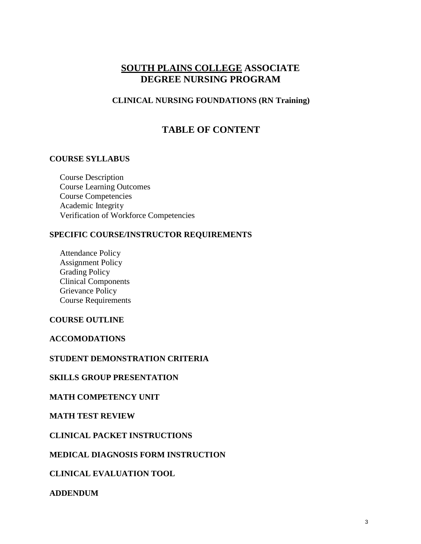#### **SOUTH PLAINS COLLEGE ASSOCIATE DEGREE NURSING PROGRAM**

#### **CLINICAL NURSING FOUNDATIONS (RN Training)**

## **TABLE OF CONTENT**

#### **COURSE SYLLABUS**

Course Description Course Learning Outcomes Course Competencies Academic Integrity Verification of Workforce Competencies

#### **SPECIFIC COURSE/INSTRUCTOR REQUIREMENTS**

Attendance Policy Assignment Policy Grading Policy Clinical Components Grievance Policy Course Requirements

#### **COURSE OUTLINE**

**ACCOMODATIONS**

#### **STUDENT DEMONSTRATION CRITERIA**

#### **SKILLS GROUP PRESENTATION**

#### **MATH COMPETENCY UNIT**

#### **MATH TEST REVIEW**

#### **CLINICAL PACKET INSTRUCTIONS**

#### **MEDICAL DIAGNOSIS FORM INSTRUCTION**

#### **CLINICAL EVALUATION TOOL**

#### **ADDENDUM**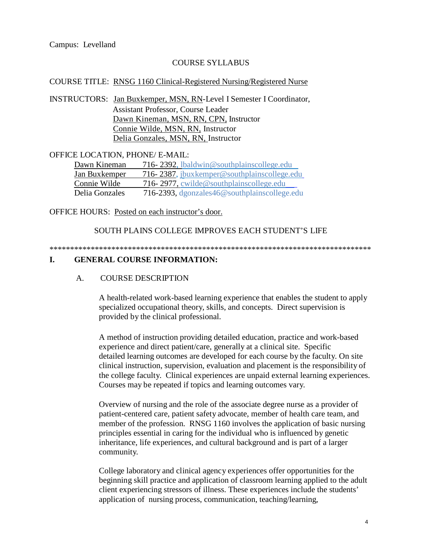#### COURSE SYLLABUS

#### COURSE TITLE: RNSG 1160 Clinical-Registered Nursing/Registered Nurse

INSTRUCTORS: Jan Buxkemper, MSN, RN-Level I Semester I Coordinator, Assistant Professor, Course Leader Dawn Kineman, MSN, RN, CPN, Instructor Connie Wilde, MSN, RN, Instructor Delia Gonzales, MSN, RN, Instructor

OFFICE LOCATION, PHONE/ E-MAIL:

Dawn Kineman 716- 2392, lbaldwin@southplainscollege.edu Jan Buxkemper 716- 2387, [jbuxkemper@southplainscollege.edu](mailto:jbuxkemper@southplainscollege.edu) Connie Wilde 716- 2977, cwilde@southplainscollege.edu<br>Delia Gonzales 716-2393, deonzales46@southplainscollege. 716-2393, dgonzales46@southplainscollege.edu

OFFICE HOURS: Posted on each instructor's door.

SOUTH PLAINS COLLEGE IMPROVES EACH STUDENT'S LIFE

#### \*\*\*\*\*\*\*\*\*\*\*\*\*\*\*\*\*\*\*\*\*\*\*\*\*\*\*\*\*\*\*\*\*\*\*\*\*\*\*\*\*\*\*\*\*\*\*\*\*\*\*\*\*\*\*\*\*\*\*\*\*\*\*\*\*\*\*\*\*\*\*\*\*\*\*\*\*\*

#### **I. GENERAL COURSE INFORMATION:**

#### A. COURSE DESCRIPTION

A health-related work-based learning experience that enables the student to apply specialized occupational theory, skills, and concepts. Direct supervision is provided by the clinical professional.

A method of instruction providing detailed education, practice and work-based experience and direct patient/care, generally at a clinical site. Specific detailed learning outcomes are developed for each course by the faculty. On site clinical instruction, supervision, evaluation and placement is the responsibility of the college faculty. Clinical experiences are unpaid external learning experiences. Courses may be repeated if topics and learning outcomes vary.

Overview of nursing and the role of the associate degree nurse as a provider of patient-centered care, patient safety advocate, member of health care team, and member of the profession. RNSG 1160 involves the application of basic nursing principles essential in caring for the individual who is influenced by genetic inheritance, life experiences, and cultural background and is part of a larger community.

College laboratory and clinical agency experiences offer opportunities for the beginning skill practice and application of classroom learning applied to the adult client experiencing stressors of illness. These experiences include the students' application of nursing process, communication, teaching/learning,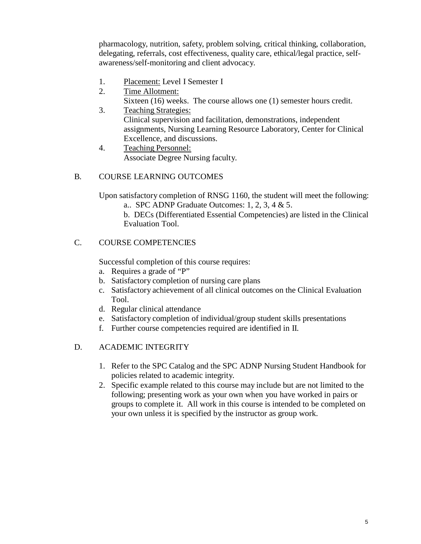pharmacology, nutrition, safety, problem solving, critical thinking, collaboration, delegating, referrals, cost effectiveness, quality care, ethical/legal practice, selfawareness/self-monitoring and client advocacy.

- 1. Placement: Level I Semester I
- 2. Time Allotment:
- Sixteen (16) weeks. The course allows one (1) semester hours credit.
- 3. Teaching Strategies: Clinical supervision and facilitation, demonstrations, independent assignments, Nursing Learning Resource Laboratory, Center for Clinical Excellence, and discussions.
- 4. Teaching Personnel: Associate Degree Nursing faculty.

#### B. COURSE LEARNING OUTCOMES

Upon satisfactory completion of RNSG 1160, the student will meet the following:

a.. SPC ADNP Graduate Outcomes: 1, 2, 3, 4 & 5.

b. DECs (Differentiated Essential Competencies) are listed in the Clinical Evaluation Tool.

#### C. COURSE COMPETENCIES

Successful completion of this course requires:

- a. Requires a grade of "P"
- b. Satisfactory completion of nursing care plans
- c. Satisfactory achievement of all clinical outcomes on the Clinical Evaluation Tool.
- d. Regular clinical attendance
- e. Satisfactory completion of individual/group student skills presentations
- f. Further course competencies required are identified in II.

#### D. ACADEMIC INTEGRITY

- 1. Refer to the SPC Catalog and the SPC ADNP Nursing Student Handbook for policies related to academic integrity.
- 2. Specific example related to this course may include but are not limited to the following; presenting work as your own when you have worked in pairs or groups to complete it. All work in this course is intended to be completed on your own unless it is specified by the instructor as group work.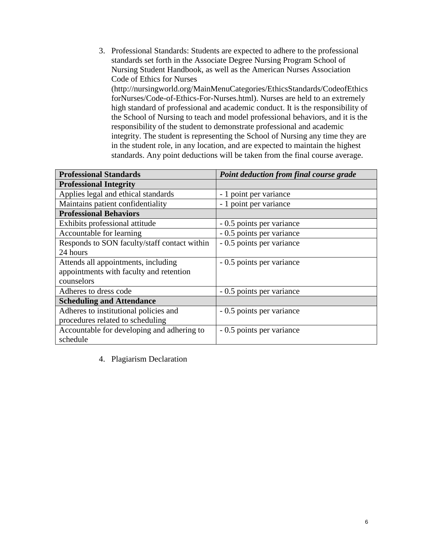3. Professional Standards: Students are expected to adhere to the professional standards set forth in the Associate Degree Nursing Program School of Nursing Student Handbook, as well as the American Nurses Association Code of Ethics for Nurses (http://nursingworld.org/MainMenuCategories/EthicsStandards/CodeofEthics forNurses/Code-of-Ethics-For-Nurses.html). Nurses are held to an extremely high standard of professional and academic conduct. It is the responsibility of the School of Nursing to teach and model professional behaviors, and it is the responsibility of the student to demonstrate professional and academic integrity. The student is representing the School of Nursing any time they are in the student role, in any location, and are expected to maintain the highest standards. Any point deductions will be taken from the final course average.

| <b>Professional Standards</b>                | Point deduction from final course grade |
|----------------------------------------------|-----------------------------------------|
| <b>Professional Integrity</b>                |                                         |
| Applies legal and ethical standards          | - 1 point per variance                  |
| Maintains patient confidentiality            | - 1 point per variance                  |
| <b>Professional Behaviors</b>                |                                         |
| Exhibits professional attitude               | - 0.5 points per variance               |
| Accountable for learning                     | - 0.5 points per variance               |
| Responds to SON faculty/staff contact within | - 0.5 points per variance               |
| 24 hours                                     |                                         |
| Attends all appointments, including          | - 0.5 points per variance               |
| appointments with faculty and retention      |                                         |
| counselors                                   |                                         |
| Adheres to dress code                        | - 0.5 points per variance               |
| <b>Scheduling and Attendance</b>             |                                         |
| Adheres to institutional policies and        | - 0.5 points per variance               |
| procedures related to scheduling             |                                         |
| Accountable for developing and adhering to   | - 0.5 points per variance               |
| schedule                                     |                                         |

4. Plagiarism Declaration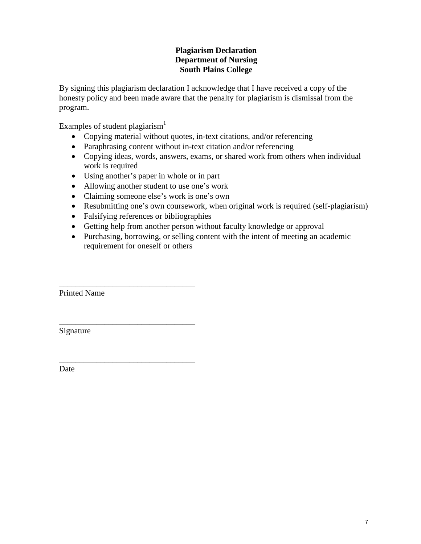#### **Plagiarism Declaration Department of Nursing South Plains College**

By signing this plagiarism declaration I acknowledge that I have received a copy of the honesty policy and been made aware that the penalty for plagiarism is dismissal from the program.

Examples of student plagiarism $<sup>1</sup>$ </sup>

- Copying material without quotes, in-text citations, and/or referencing
- Paraphrasing content without in-text citation and/or referencing
- Copying ideas, words, answers, exams, or shared work from others when individual work is required
- Using another's paper in whole or in part
- Allowing another student to use one's work
- Claiming someone else's work is one's own
- Resubmitting one's own coursework, when original work is required (self-plagiarism)
- Falsifying references or bibliographies

\_\_\_\_\_\_\_\_\_\_\_\_\_\_\_\_\_\_\_\_\_\_\_\_\_\_\_\_\_\_\_\_\_

\_\_\_\_\_\_\_\_\_\_\_\_\_\_\_\_\_\_\_\_\_\_\_\_\_\_\_\_\_\_\_\_\_

- Getting help from another person without faculty knowledge or approval
- Purchasing, borrowing, or selling content with the intent of meeting an academic requirement for oneself or others

\_\_\_\_\_\_\_\_\_\_\_\_\_\_\_\_\_\_\_\_\_\_\_\_\_\_\_\_\_\_\_\_\_ Printed Name

Signature

Date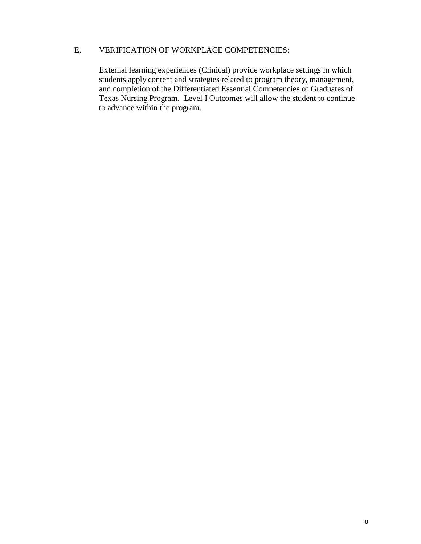#### E. VERIFICATION OF WORKPLACE COMPETENCIES:

External learning experiences (Clinical) provide workplace settings in which students apply content and strategies related to program theory, management, and completion of the Differentiated Essential Competencies of Graduates of Texas Nursing Program. Level I Outcomes will allow the student to continue to advance within the program.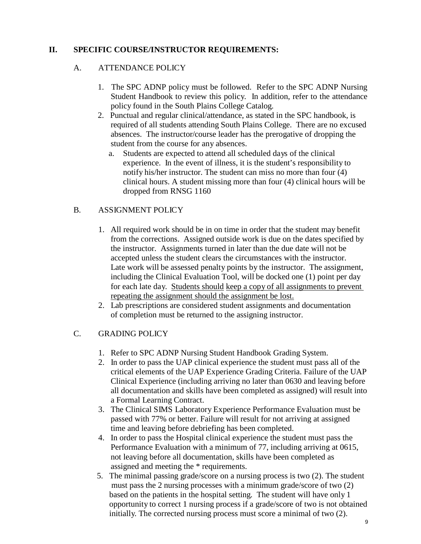#### **II. SPECIFIC COURSE/INSTRUCTOR REQUIREMENTS:**

#### A. ATTENDANCE POLICY

- 1. The SPC ADNP policy must be followed. Refer to the SPC ADNP Nursing Student Handbook to review this policy. In addition, refer to the attendance policy found in the South Plains College Catalog.
- 2. Punctual and regular clinical/attendance, as stated in the SPC handbook, is required of all students attending South Plains College. There are no excused absences. The instructor/course leader has the prerogative of dropping the student from the course for any absences.
	- a. Students are expected to attend all scheduled days of the clinical experience. In the event of illness, it is the student's responsibility to notify his/her instructor. The student can miss no more than four (4) clinical hours. A student missing more than four (4) clinical hours will be dropped from RNSG 1160

#### B. ASSIGNMENT POLICY

- 1. All required work should be in on time in order that the student may benefit from the corrections. Assigned outside work is due on the dates specified by the instructor. Assignments turned in later than the due date will not be accepted unless the student clears the circumstances with the instructor. Late work will be assessed penalty points by the instructor. The assignment, including the Clinical Evaluation Tool, will be docked one (1) point per day for each late day. Students should keep a copy of all assignments to prevent repeating the assignment should the assignment be lost.
- 2. Lab prescriptions are considered student assignments and documentation of completion must be returned to the assigning instructor.

#### C. GRADING POLICY

- 1. Refer to SPC ADNP Nursing Student Handbook Grading System.
- 2. In order to pass the UAP clinical experience the student must pass all of the critical elements of the UAP Experience Grading Criteria. Failure of the UAP Clinical Experience (including arriving no later than 0630 and leaving before all documentation and skills have been completed as assigned) will result into a Formal Learning Contract.
- 3. The Clinical SIMS Laboratory Experience Performance Evaluation must be passed with 77% or better. Failure will result for not arriving at assigned time and leaving before debriefing has been completed.
- 4. In order to pass the Hospital clinical experience the student must pass the Performance Evaluation with a minimum of 77, including arriving at 0615, not leaving before all documentation, skills have been completed as assigned and meeting the \* requirements.
- 5. The minimal passing grade/score on a nursing process is two (2). The student must pass the 2 nursing processes with a minimum grade/score of two (2) based on the patients in the hospital setting. The student will have only 1 opportunity to correct 1 nursing process if a grade/score of two is not obtained initially. The corrected nursing process must score a minimal of two (2).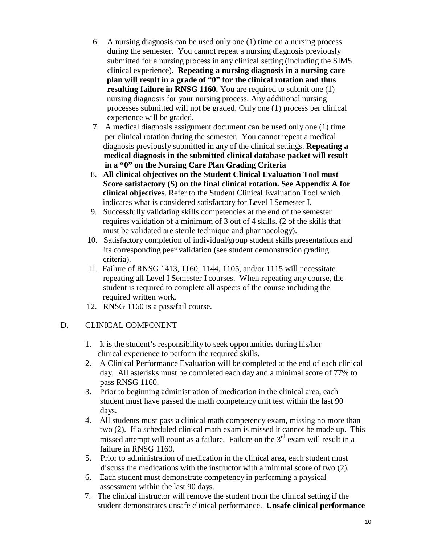- 6. A nursing diagnosis can be used only one (1) time on a nursing process during the semester. You cannot repeat a nursing diagnosis previously submitted for a nursing process in any clinical setting (including the SIMS clinical experience). **Repeating a nursing diagnosis in a nursing care plan will result in a grade of "0" for the clinical rotation and thus resulting failure in RNSG 1160.** You are required to submit one (1) nursing diagnosis for your nursing process. Any additional nursing processes submitted will not be graded. Only one (1) process per clinical experience will be graded.
- 7. A medical diagnosis assignment document can be used only one (1) time per clinical rotation during the semester. You cannot repeat a medical diagnosis previously submitted in any of the clinical settings. **Repeating a medical diagnosis in the submitted clinical database packet will result in a "0" on the Nursing Care Plan Grading Criteria**
- 8. **All clinical objectives on the Student Clinical Evaluation Tool must Score satisfactory (S) on the final clinical rotation. See Appendix A for clinical objectives**. Refer to the Student Clinical Evaluation Tool which indicates what is considered satisfactory for Level I Semester I.
- 9. Successfully validating skills competencies at the end of the semester requires validation of a minimum of 3 out of 4 skills. (2 of the skills that must be validated are sterile technique and pharmacology).
- 10. Satisfactory completion of individual/group student skills presentations and its corresponding peer validation (see student demonstration grading criteria).
- 11. Failure of RNSG 1413, 1160, 1144, 1105, and/or 1115 will necessitate repeating all Level I Semester I courses. When repeating any course, the student is required to complete all aspects of the course including the required written work.
- 12. RNSG 1160 is a pass/fail course.

#### D. CLINICAL COMPONENT

- 1. It is the student's responsibility to seek opportunities during his/her clinical experience to perform the required skills.
- 2. A Clinical Performance Evaluation will be completed at the end of each clinical day. All asterisks must be completed each day and a minimal score of 77% to pass RNSG 1160.
- 3. Prior to beginning administration of medication in the clinical area, each student must have passed the math competency unit test within the last 90 days.
- 4. All students must pass a clinical math competency exam, missing no more than two (2). If a scheduled clinical math exam is missed it cannot be made up. This missed attempt will count as a failure. Failure on the  $3<sup>rd</sup>$  exam will result in a failure in RNSG 1160.
- 5. Prior to administration of medication in the clinical area, each student must discuss the medications with the instructor with a minimal score of two (2).
- 6. Each student must demonstrate competency in performing a physical assessment within the last 90 days.
- 7. The clinical instructor will remove the student from the clinical setting if the student demonstrates unsafe clinical performance. **Unsafe clinical performance**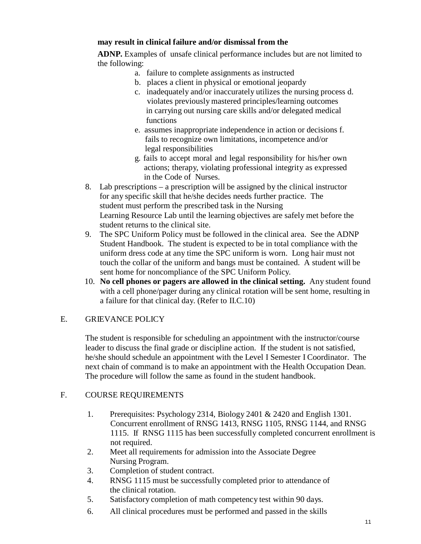#### **may result in clinical failure and/or dismissal from the**

**ADNP.** Examples of unsafe clinical performance includes but are not limited to the following:

- a. failure to complete assignments as instructed
- b. places a client in physical or emotional jeopardy
- c. inadequately and/or inaccurately utilizes the nursing process d. violates previously mastered principles/learning outcomes in carrying out nursing care skills and/or delegated medical functions
- e. assumes inappropriate independence in action or decisions f. fails to recognize own limitations, incompetence and/or legal responsibilities
- g. fails to accept moral and legal responsibility for his/her own actions; therapy, violating professional integrity as expressed in the Code of Nurses.
- 8. Lab prescriptions a prescription will be assigned by the clinical instructor for any specific skill that he/she decides needs further practice. The student must perform the prescribed task in the Nursing Learning Resource Lab until the learning objectives are safely met before the student returns to the clinical site.
- 9. The SPC Uniform Policy must be followed in the clinical area. See the ADNP Student Handbook. The student is expected to be in total compliance with the uniform dress code at any time the SPC uniform is worn. Long hair must not touch the collar of the uniform and bangs must be contained. A student will be sent home for noncompliance of the SPC Uniform Policy.
- 10. **No cell phones or pagers are allowed in the clinical setting.** Any student found with a cell phone/pager during any clinical rotation will be sent home, resulting in a failure for that clinical day. (Refer to II.C.10)

#### E. GRIEVANCE POLICY

The student is responsible for scheduling an appointment with the instructor/course leader to discuss the final grade or discipline action. If the student is not satisfied, he/she should schedule an appointment with the Level I Semester I Coordinator. The next chain of command is to make an appointment with the Health Occupation Dean. The procedure will follow the same as found in the student handbook.

#### F. COURSE REQUIREMENTS

- 1. Prerequisites: Psychology 2314, Biology 2401 & 2420 and English 1301. Concurrent enrollment of RNSG 1413, RNSG 1105, RNSG 1144, and RNSG 1115. If RNSG 1115 has been successfully completed concurrent enrollment is not required.
- 2. Meet all requirements for admission into the Associate Degree Nursing Program.
- 3. Completion of student contract.
- 4. RNSG 1115 must be successfully completed prior to attendance of the clinical rotation.
- 5. Satisfactory completion of math competency test within 90 days.
- 6. All clinical procedures must be performed and passed in the skills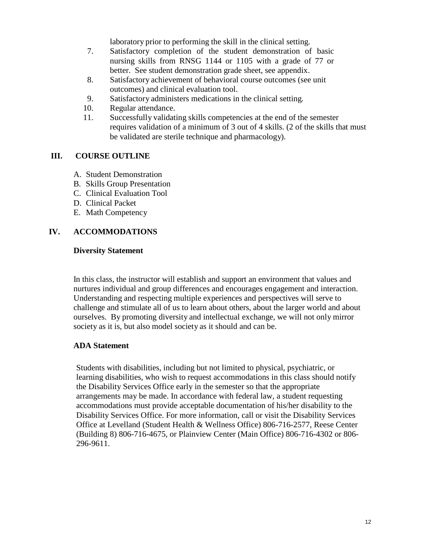laboratory prior to performing the skill in the clinical setting.

- 7. Satisfactory completion of the student demonstration of basic nursing skills from RNSG 1144 or 1105 with a grade of 77 or better. See student demonstration grade sheet, see appendix.
- 8. Satisfactory achievement of behavioral course outcomes (see unit outcomes) and clinical evaluation tool.
- 9. Satisfactory administers medications in the clinical setting.
- 10. Regular attendance.
- 11. Successfully validating skills competencies at the end of the semester requires validation of a minimum of 3 out of 4 skills. (2 of the skills that must be validated are sterile technique and pharmacology).

#### **III. COURSE OUTLINE**

- A. Student Demonstration
- B. Skills Group Presentation
- C. Clinical Evaluation Tool
- D. Clinical Packet
- E. Math Competency

#### **IV. ACCOMMODATIONS**

#### **Diversity Statement**

In this class, the instructor will establish and support an environment that values and nurtures individual and group differences and encourages engagement and interaction. Understanding and respecting multiple experiences and perspectives will serve to challenge and stimulate all of us to learn about others, about the larger world and about ourselves. By promoting diversity and intellectual exchange, we will not only mirror society as it is, but also model society as it should and can be.

#### **ADA Statement**

Students with disabilities, including but not limited to physical, psychiatric, or learning disabilities, who wish to request accommodations in this class should notify the Disability Services Office early in the semester so that the appropriate arrangements may be made. In accordance with federal law, a student requesting accommodations must provide acceptable documentation of his/her disability to the Disability Services Office. For more information, call or visit the Disability Services Office at Levelland (Student Health & Wellness Office) 806-716-2577, Reese Center (Building 8) 806-716-4675, or Plainview Center (Main Office) 806-716-4302 or 806- 296-9611.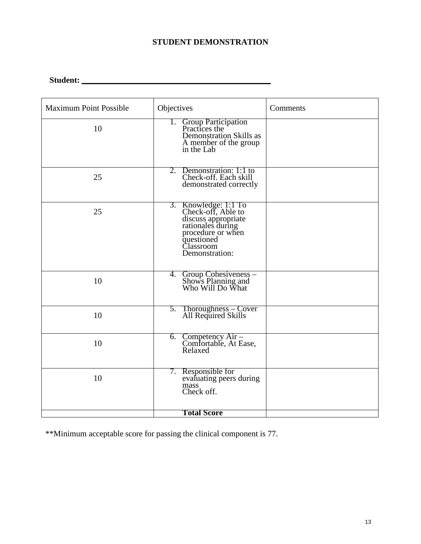#### **STUDENT DEMONSTRATION**

**Student:**

| <b>Maximum Point Possible</b> | Objectives                                                                                                                                                  | Comments |
|-------------------------------|-------------------------------------------------------------------------------------------------------------------------------------------------------------|----------|
| 10                            | 1. Group Participation<br>Practices the<br><b>Demonstration Skills as</b><br>A member of the group<br>in the Lab                                            |          |
| 25                            | 2. Demonstration: 1:1 to<br>Check-off. Each skill<br>demonstrated correctly                                                                                 |          |
| 25                            | Knowledge: 1:1 To<br>Check-off, Able to<br>3.<br>discuss appropriate<br>rationales during<br>procedure or when<br>questioned<br>Classroom<br>Demonstration: |          |
| 10                            | Group Cohesiveness –<br>Shows Planning and<br>Who Will Do What<br>4.                                                                                        |          |
| 10                            | 5. Thoroughness – Cover<br>All Required Skills                                                                                                              |          |
| 10                            | 6. Competency Air –<br>Comfortable, At Ease,<br>Relaxed                                                                                                     |          |
| 10                            | 7. Responsible for<br>evaluating peers during<br>mass<br>Check off.                                                                                         |          |
|                               | <b>Total Score</b>                                                                                                                                          |          |

\*\*Minimum acceptable score for passing the clinical component is 77.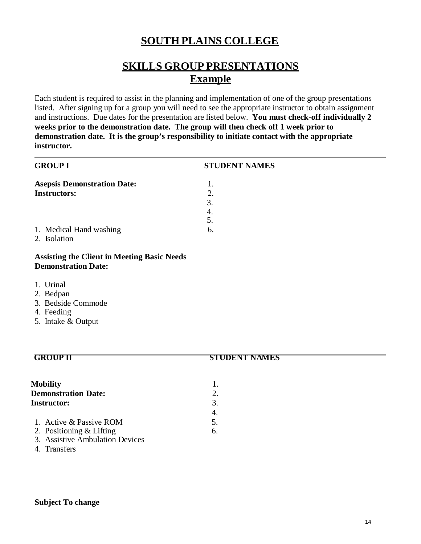# **SOUTH PLAINS COLLEGE**

# **SKILLS GROUP PRESENTATIONS Example**

Each student is required to assist in the planning and implementation of one of the group presentations listed. After signing up for a group you will need to see the appropriate instructor to obtain assignment and instructions. Due dates for the presentation are listed below. **You must check-off individually 2 weeks prior to the demonstration date. The group will then check off 1 week prior to demonstration date. It is the group's responsibility to initiate contact with the appropriate instructor.**

#### **GROUP I STUDENT NAMES**

| <b>Asepsis Demonstration Date:</b>              |    |
|-------------------------------------------------|----|
| <b>Instructors:</b>                             |    |
|                                                 | 3. |
|                                                 |    |
|                                                 |    |
| 1. Medical Hand washing<br>$\sim$ $\sim$ $\sim$ | 6. |

2. Isolation

#### **Assisting the Client in Meeting Basic Needs Demonstration Date:**

- 1. Urinal
- 2. Bedpan
- 3. Bedside Commode
- 4. Feeding
- 5. Intake & Output

#### **GROUP II STUDENT NAMES**

| Mobility                   |    |
|----------------------------|----|
| <b>Demonstration Date:</b> |    |
| <b>Instructor:</b>         | 3. |
|                            |    |
| 1. Active & Passive ROM    | 5. |
| 2. Positioning & Lifting   | 6. |

- 3. Assistive Ambulation Devices
- 4. Transfers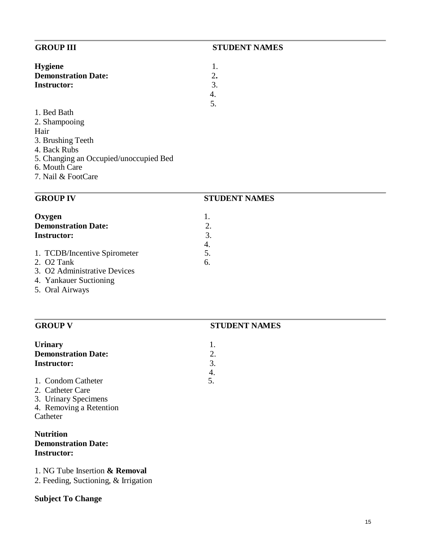| <b>Hygiene</b>                         | 1. |  |
|----------------------------------------|----|--|
| <b>Demonstration Date:</b>             | 2. |  |
| <b>Instructor:</b>                     | 3. |  |
|                                        | 4. |  |
|                                        | 5. |  |
| 1. Bed Bath                            |    |  |
| 2. Shampooing                          |    |  |
| Hair                                   |    |  |
| 3. Brushing Teeth                      |    |  |
| 4. Back Rubs                           |    |  |
| 5. Changing an Occupied/unoccupied Bed |    |  |
| 6. Mouth Care                          |    |  |

7. Nail & FootCare

#### **GROUP IV STUDENT NAMES**

| Oxygen                       |    |
|------------------------------|----|
| <b>Demonstration Date:</b>   |    |
| <b>Instructor:</b>           | 3. |
|                              | 4. |
| 1. TCDB/Incentive Spirometer | 5. |
| 2. $O2$ Tank                 | б. |
| 3. O2 Administrative Devices |    |
|                              |    |

- 4. Yankauer Suctioning
- 5. Oral Airways

| <b>Urinary</b>             |  |
|----------------------------|--|
| <b>Demonstration Date:</b> |  |
| <b>Instructor:</b>         |  |
|                            |  |

- 1. Condom Catheter
- 2. Catheter Care
- 3. Urinary Specimens
- 4. Removing a Retention Catheter

#### **Nutrition Demonstration Date: Instructor:**

1. NG Tube Insertion **& Removal**

2. Feeding, Suctioning, & Irrigation

#### **Subject To Change**

#### **GROUP V STUDENT NAMES**

 $rac{4}{5}$ .

## **GROUP III** STUDENT NAMES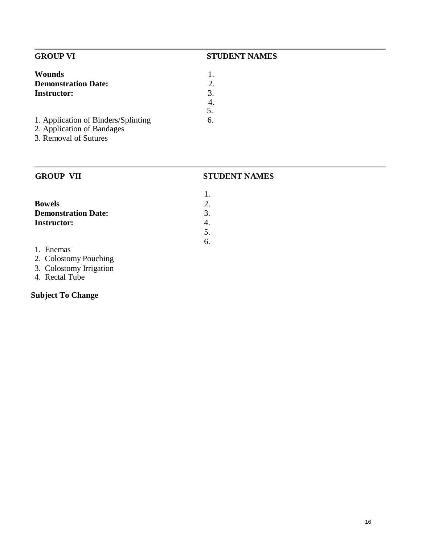#### **GROUP VI** STUDENT NAMES

- **Wounds** 1.<br>**Demonstration Date:** 2. **Demonstration Date: Instructor:** 3.<br>4. 4.
	-
	-
	-
	- 5.
- 1. Application of Binders/Splinting 6.
- 2. Application of Bandages
- 3. Removal of Sutures

#### **GROUP VII STUDENT NAMES**

| <b>Bowels</b>              |    |
|----------------------------|----|
| <b>Demonstration Date:</b> | 3. |
| <b>Instructor:</b>         |    |
|                            |    |
|                            |    |

- 1. Enemas
- 2. Colostomy Pouching

3. Colostomy Irrigation

4. Rectal Tube

#### **Subject To Change**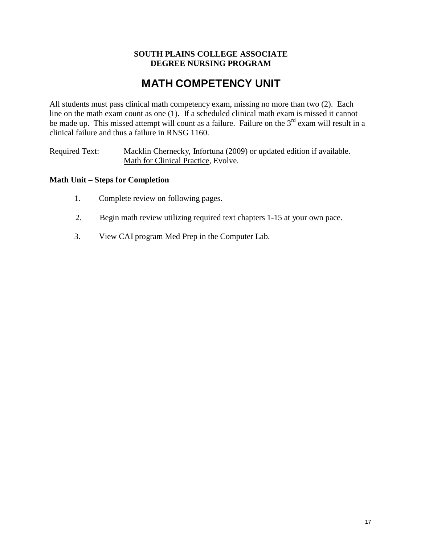#### **SOUTH PLAINS COLLEGE ASSOCIATE DEGREE NURSING PROGRAM**

# **MATH COMPETENCY UNIT**

All students must pass clinical math competency exam, missing no more than two (2). Each line on the math exam count as one (1). If a scheduled clinical math exam is missed it cannot be made up. This missed attempt will count as a failure. Failure on the 3<sup>rd</sup> exam will result in a clinical failure and thus a failure in RNSG 1160.

Required Text: Macklin Chernecky, Infortuna (2009) or updated edition if available. Math for Clinical Practice, Evolve.

#### **Math Unit – Steps for Completion**

- 1. Complete review on following pages.
- 2. Begin math review utilizing required text chapters 1-15 at your own pace.
- 3. View CAI program Med Prep in the Computer Lab.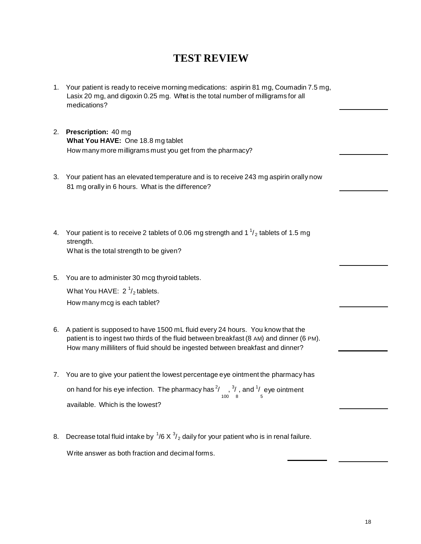## **TEST REVIEW**

|                                                                                  | 1. Your patient is ready to receive morning medications: aspirin 81 mg, Coumadin 7.5 mg, |  |  |  |
|----------------------------------------------------------------------------------|------------------------------------------------------------------------------------------|--|--|--|
| Lasix 20 mg, and digoxin 0.25 mg. What is the total number of milligrams for all |                                                                                          |  |  |  |
|                                                                                  | medications?                                                                             |  |  |  |

- 2. **Prescription:** 40 mg **What You HAVE:** One 18.8 mg tablet How many more milligrams must you get from the pharmacy?
- 3. Your patient has an elevated temperature and is to receive 243 mg aspirin orally now 81 mg orally in 6 hours. What is the difference?
- 4. Your patient is to receive 2 tablets of 0.06 mg strength and 1  $\frac{1}{2}$  tablets of 1.5 mg strength. What is the total strength to be given?
- 5. You are to administer 30 mcg thyroid tablets.

What You HAVE:  $2<sup>1</sup>/2$  tablets. How many mcg is each tablet?

- 6. A patient is supposed to have 1500 mL fluid every 24 hours. You know that the patient is to ingest two thirds of the fluid between breakfast (8 AM) and dinner (6 PM). How many milliliters of fluid should be ingested between breakfast and dinner?
- 7. You are to give your patient the lowest percentage eye ointment the pharmacy has on hand for his eye infection. The pharmacy has  $\frac{2}{100}$  ,  $\frac{3}{8}$  , and  $\frac{1}{5}$  eye ointment available. Which is the lowest?
- 8. Decrease total fluid intake by  $\frac{1}{6}$  X  $\frac{3}{2}$  daily for your patient who is in renal failure.

Write answer as both fraction and decimal forms.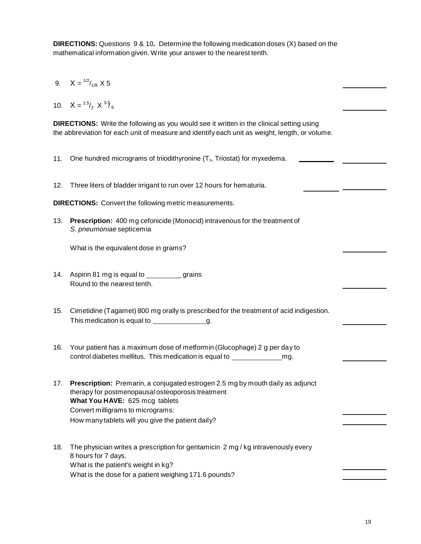**DIRECTIONS:** Questions 9 & 10**.** Determine the following medication doses (X) based on the mathematical information given. Write your answer to the nearest tenth.

9.  $X = \frac{1}{2}I_{1/8} \times 5$ 

10.  $X = {^{1.5}}/_2 X {^{3.5}}_6$ 

**DIRECTIONS:** Write the following as you would see it written in the clinical setting using the abbreviation for each unit of measure and identify each unit as weight, length, or volume.

- 11. One hundred micrograms of triiodithyronine  $(T_3, T_{10})$  for myxedema.
- 12. Three liters of bladder irrigant to run over 12 hours for hematuria.

**DIRECTIONS:** Convert the following metric measurements.

13. **Prescription:** 400 mg cefonicide (Monocid) intravenous for the treatment of *S. pneumoniae* septicemia

What is the equivalent dose in grams?

- 14. Aspirin 81 mg is equal to \_\_\_\_\_\_\_\_\_\_\_ grains Round to the nearest tenth.
- 15. Cimetidine (Tagamet) 800 mg orally is prescribed for the treatment of acid indigestion. This medication is equal to \_\_\_\_\_\_\_\_\_\_\_\_\_\_\_\_\_\_g.
- 16. Your patient has a maximum dose of metformin (Glucophage) 2 g per day to control diabetes mellitus. This medication is equal to mg.
- 17. **Prescription:** Premarin, a conjugated estrogen 2.5 mg by mouth daily as adjunct therapy for postmenopausal osteoporosis treatment **What You HAVE:** 625 mcg tablets Convert milligrams to micrograms: How many tablets will you give the patient daily?
- 18. The physician writes a prescription for gentamicin 2 mg / kg intravenously every 8 hours for 7 days. What is the patient's weight in kg? What is the dose for a patient weighing 171.6 pounds?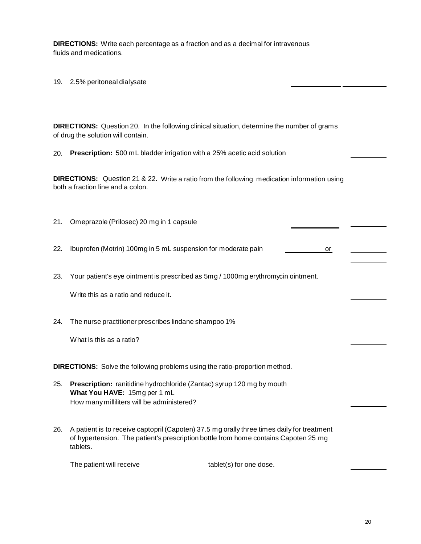**DIRECTIONS:** Write each percentage as a fraction and as a decimal for intravenous fluids and medications.

19. 2.5% peritoneal dialysate

**DIRECTIONS:** Question 20. In the following clinical situation, determine the number of grams of drug the solution will contain.

20. **Prescription:** 500 mL bladder irrigation with a 25% acetic acid solution

**DIRECTIONS:** Question 21 & 22. Write a ratio from the following medication information using both a fraction line and a colon.

21. Omeprazole (Prilosec) 20 mg in 1 capsule

22. Ibuprofen (Motrin) 100mg in 5 mL suspension for moderate pain or or

23. Your patient's eye ointment is prescribed as 5mg / 1000mg erythromycin ointment.

Write this as a ratio and reduce it.

24. The nurse practitioner prescribes lindane shampoo 1%

What is this as a ratio?

**DIRECTIONS:** Solve the following problems using the ratio-proportion method.

- 25. **Prescription:** ranitidine hydrochloride (Zantac) syrup 120 mg by mouth **What You HAVE:** 15mg per 1 mL How many milliliters will be administered?
- 26. A patient is to receive captopril (Capoten) 37.5 mg orally three times daily for treatment of hypertension. The patient's prescription bottle from home contains Capoten 25 mg tablets.

The patient will receive \_\_\_\_\_\_\_\_\_\_\_\_\_\_\_\_\_\_tablet(s) for one dose.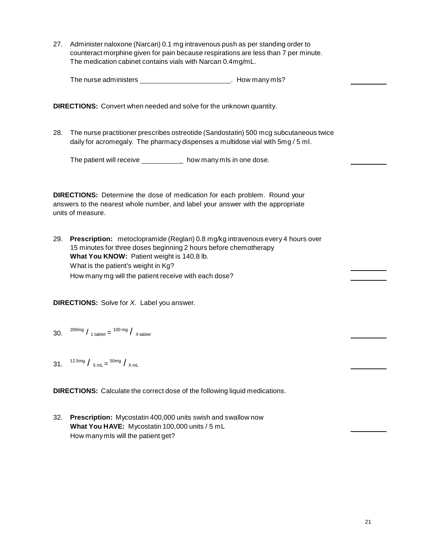27. Administer naloxone (Narcan) 0.1 mg intravenous push as per standing order to counteract morphine given for pain because respirations are less than 7 per minute. The medication cabinet contains vials with Narcan 0.4mg/mL.

The nurse administers **EXECUTE:** The nurse administers **NATION** 

**DIRECTIONS:** Convert when needed and solve for the unknown quantity.

28. The nurse practitioner prescribes ostreotide (Sandostatin) 500 mcg subcutaneous twice daily for acromegaly. The pharmacy dispenses a multidose vial with 5mg / 5 ml.

The patient will receive \_\_\_\_\_\_\_\_\_\_\_ how many mls in one dose.

**DIRECTIONS:** Determine the dose of medication for each problem. Round your answers to the nearest whole number, and label your answer with the appropriate units of measure.

29. **Prescription:** metoclopramide (Reglan) 0.8 mg/kg intravenous every 4 hours over 15 minutes for three doses beginning 2 hours before chemotherapy **What You KNOW:** Patient weight is 140.8 lb. What is the patient's weight in Kg? How many mg will the patient receive with each dose?

**DIRECTIONS:** Solve for *X.* Label you answer*.*

- 30.  $^{200mg}/1$  tablet  $=$   $^{100\,mg}/x$  tablet
- 31.  $12.5mg / 5m = 50mg / xm$

**DIRECTIONS:** Calculate the correct dose of the following liquid medications.

32. **Prescription:** Mycostatin 400,000 units swish and swallow now **What You HAVE:** Mycostatin 100,000 units / 5 mL How many mls will the patient get?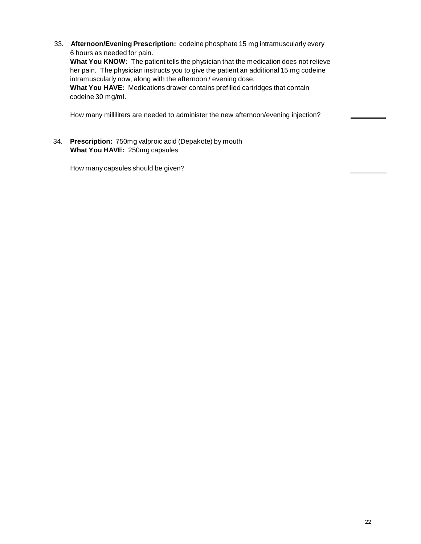33. **Afternoon/Evening Prescription:** codeine phosphate 15 mg intramuscularly every 6 hours as needed for pain.

**What You KNOW:** The patient tells the physician that the medication does not relieve her pain. The physician instructs you to give the patient an additional 15 mg codeine intramuscularly now, along with the afternoon / evening dose.

**What You HAVE:** Medications drawer contains prefilled cartridges that contain codeine 30 mg/ml.

How many milliliters are needed to administer the new afternoon/evening injection?

34. **Prescription:** 750mg valproic acid (Depakote) by mouth **What You HAVE:** 250mg capsules

How many capsules should be given?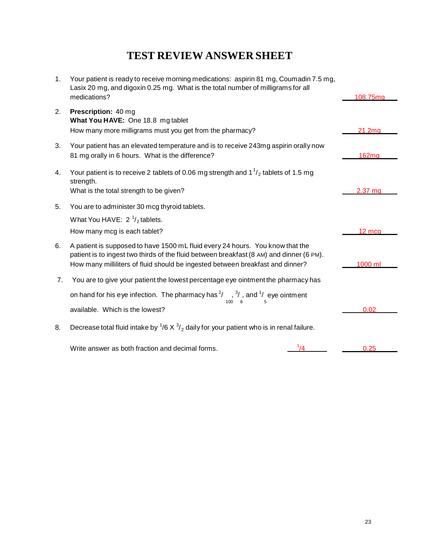# **TEST REVIEW ANSWER SHEET**

| 1 <sub>1</sub> | Your patient is ready to receive morning medications: aspirin 81 mg, Coumadin 7.5 mg,<br>Lasix 20 mg, and digoxin 0.25 mg. What is the total number of milligrams for all<br>medications?                                                                   | 108.75mg           |
|----------------|-------------------------------------------------------------------------------------------------------------------------------------------------------------------------------------------------------------------------------------------------------------|--------------------|
| 2.             | Prescription: 40 mg<br>What You HAVE: One 18.8 mg tablet<br>How many more milligrams must you get from the pharmacy?                                                                                                                                        | 21.2 <sub>ma</sub> |
| 3.             | Your patient has an elevated temperature and is to receive 243mg aspirin orally now<br>81 mg orally in 6 hours. What is the difference?                                                                                                                     | 162 <sub>ma</sub>  |
| 4.             | Your patient is to receive 2 tablets of 0.06 mg strength and $1\frac{1}{2}$ tablets of 1.5 mg<br>strength.<br>What is the total strength to be given?                                                                                                       | 2.37 <sub>ma</sub> |
| 5.             | You are to administer 30 mcg thyroid tablets.                                                                                                                                                                                                               |                    |
|                | What You HAVE: $2^{1/2}$ tablets.                                                                                                                                                                                                                           |                    |
|                | How many mcg is each tablet?                                                                                                                                                                                                                                | $12 \text{ m}$ co  |
| 6.             | A patient is supposed to have 1500 mL fluid every 24 hours. You know that the<br>patient is to ingest two thirds of the fluid between breakfast (8 AM) and dinner (6 PM).<br>How many milliliters of fluid should be ingested between breakfast and dinner? | $1000$ ml          |
| 7.             | You are to give your patient the lowest percentage eye ointment the pharmacy has                                                                                                                                                                            |                    |
|                | on hand for his eye infection. The pharmacy has $2/3$ , $3/3$ , and $1/3$ eye ointment<br>100                                                                                                                                                               |                    |
|                | available. Which is the lowest?                                                                                                                                                                                                                             | በ በ2               |
| 8.             | Decrease total fluid intake by $\frac{1}{6}$ X $\frac{3}{2}$ daily for your patient who is in renal failure.                                                                                                                                                |                    |
|                | Write answer as both fraction and decimal forms.                                                                                                                                                                                                            | 0.25               |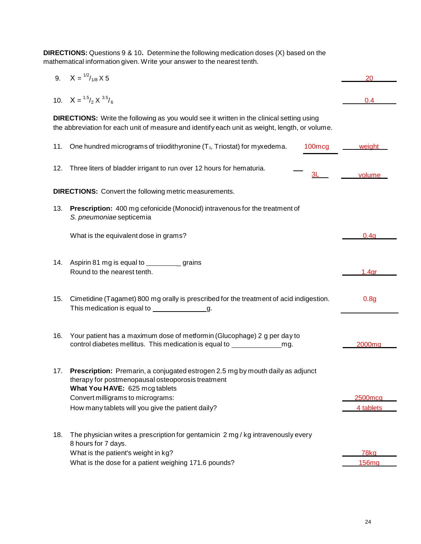9.  $X = \frac{1/2}{1/8} X 5$  20 10.  $X = {^{1.5}} /_2 X {^{3.5}} /$ **DIRECTIONS:** Questions 9 & 10**.** Determine the following medication doses (X) based on the mathematical information given. Write your answer to the nearest tenth.  $\frac{0.4}{0.4}$ **DIRECTIONS:** Write the following as you would see it written in the clinical setting using the abbreviation for each unit of measure and identify each unit as weight, length, or volume. 11. One hundred micrograms of triiodithyronine (T<sub>3</sub>, Triostat) for myxedema. 100mcg <u>weight</u> 12. Three liters of bladder irrigant to run over 12 hours for hematuria. 3L volume **DIRECTIONS:** Convert the following metric measurements. 13. **Prescription:** 400 mg cefonicide (Monocid) intravenous for the treatment of *S. pneumoniae* septicemia What is the equivalent dose in grams? Contact the contact of the contact of the contact of the contact of the contact of the contact of the contact of the contact of the contact of the contact of the contact of the contact 14. Aspirin 81 mg is equal to **grains** Round to the nearest tenth. The number of the nearest tenth. 1.4gr 15. Cimetidine (Tagamet) 800 mg orally is prescribed for the treatment of acid indigestion. 0.8g This medication is equal to \_\_\_\_\_\_\_\_\_\_\_\_\_\_\_\_\_\_g. 16. Your patient has a maximum dose of metformin (Glucophage) 2 g per day to control diabetes mellitus. This medication is equal to mg. This medication is equal to my mg. 2000mg 17. **Prescription:** Premarin, a conjugated estrogen 2.5 mg by mouth daily as adjunct therapy for postmenopausal osteoporosis treatment **What You HAVE:** 625 mcg tablets Convert milligrams to micrograms: 2500mcg How many tablets will you give the patient daily? 18. The physician writes a prescription for gentamicin 2 mg / kg intravenously every 8 hours for 7 days. What is the patient's weight in kg? The state of the state of the state of the state of the state of the state of the state of the state of the state of the state of the state of the state of the state of the state of the What is the dose for a patient weighing 171.6 pounds? 156mg and the state of the state of the state of the state of the state of the state of the state of the state of the state of the state of the state of the state of th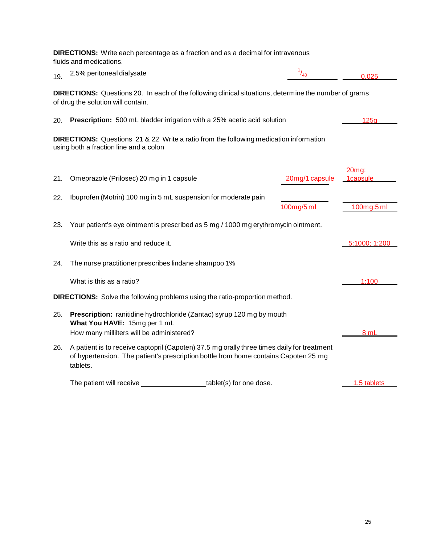**DIRECTIONS:** Write each percentage as a fraction and as a decimal for intravenous fluids and medications.

| 19.                                                                                                                                    | 2.5% peritoneal dialysate                                                                                                                                                                     | $^{1}/_{40}$   | 0.025                |  |
|----------------------------------------------------------------------------------------------------------------------------------------|-----------------------------------------------------------------------------------------------------------------------------------------------------------------------------------------------|----------------|----------------------|--|
|                                                                                                                                        | <b>DIRECTIONS:</b> Questions 20. In each of the following clinical situations, determine the number of grams<br>of drug the solution will contain.                                            |                |                      |  |
| 20.                                                                                                                                    | Prescription: 500 mL bladder irrigation with a 25% acetic acid solution                                                                                                                       |                | 125a                 |  |
| <b>DIRECTIONS:</b> Questions 21 & 22 Write a ratio from the following medication information<br>using both a fraction line and a colon |                                                                                                                                                                                               |                |                      |  |
| 21.                                                                                                                                    | Omeprazole (Prilosec) 20 mg in 1 capsule                                                                                                                                                      | 20mg/1 capsule | $20mg$ :<br>1capsule |  |
| 22.                                                                                                                                    | Ibuprofen (Motrin) 100 mg in 5 mL suspension for moderate pain                                                                                                                                | 100mg/5 ml     | 100mg:5 ml           |  |
| 23.                                                                                                                                    | Your patient's eye ointment is prescribed as 5 mg / 1000 mg erythromycin ointment.                                                                                                            |                |                      |  |
|                                                                                                                                        | Write this as a ratio and reduce it.                                                                                                                                                          |                | 5:1000; 1:200        |  |
| 24.                                                                                                                                    | The nurse practitioner prescribes lindane shampoo 1%                                                                                                                                          |                |                      |  |
|                                                                                                                                        | What is this as a ratio?                                                                                                                                                                      |                | 1:100                |  |
| <b>DIRECTIONS:</b> Solve the following problems using the ratio-proportion method.                                                     |                                                                                                                                                                                               |                |                      |  |
| 25.                                                                                                                                    | Prescription: ranitidine hydrochloride (Zantac) syrup 120 mg by mouth<br>What You HAVE: 15mg per 1 mL<br>How many millilters will be administered?                                            |                | 8 mL                 |  |
| 26.                                                                                                                                    | A patient is to receive captopril (Capoten) 37.5 mg orally three times daily for treatment<br>of hypertension. The patient's prescription bottle from home contains Capoten 25 mg<br>tablets. |                |                      |  |
|                                                                                                                                        | The patient will receive<br>tablet(s) for one dose.                                                                                                                                           |                | 1.5 tablets          |  |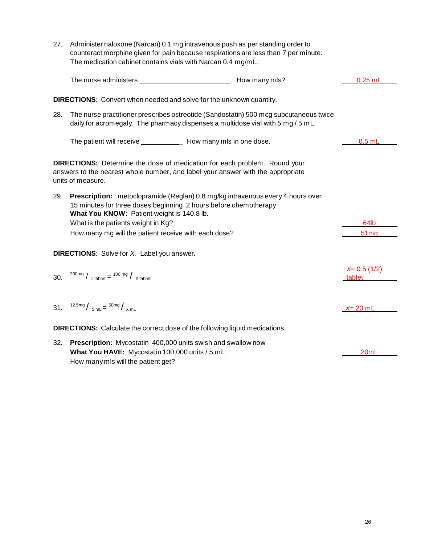| 27.                                                                                                                                                                                      | Administer naloxone (Narcan) 0.1 mg intravenous push as per standing order to<br>counteract morphine given for pain because respirations are less than 7 per minute.<br>The medication cabinet contains vials with Narcan 0.4 mg/mL. |                         |  |  |
|------------------------------------------------------------------------------------------------------------------------------------------------------------------------------------------|--------------------------------------------------------------------------------------------------------------------------------------------------------------------------------------------------------------------------------------|-------------------------|--|--|
|                                                                                                                                                                                          |                                                                                                                                                                                                                                      | $0.25$ mL               |  |  |
|                                                                                                                                                                                          | <b>DIRECTIONS:</b> Convert when needed and solve for the unknown quantity.                                                                                                                                                           |                         |  |  |
| 28.                                                                                                                                                                                      | The nurse practitioner prescribes ostreotide (Sandostatin) 500 mcg subcutaneous twice<br>daily for acromegaly. The pharmacy dispenses a multidose vial with $5 \text{ mg} / 5 \text{ mL}$ .                                          |                         |  |  |
|                                                                                                                                                                                          | The patient will receive _______________ How many mls in one dose.                                                                                                                                                                   | $0.5$ mL                |  |  |
| <b>DIRECTIONS:</b> Determine the dose of medication for each problem. Round your<br>answers to the nearest whole number, and label your answer with the appropriate<br>units of measure. |                                                                                                                                                                                                                                      |                         |  |  |
| 29.                                                                                                                                                                                      | <b>Prescription:</b> metoclopramide (Reglan) 0.8 mg/kg intravenous every 4 hours over<br>15 minutes for three doses beginning 2 hours before chemotherapy<br>What You KNOW: Patient weight is 140.8 lb.                              |                         |  |  |
|                                                                                                                                                                                          | What is the patients weight in Kg?                                                                                                                                                                                                   | 64lb                    |  |  |
|                                                                                                                                                                                          | How many mg will the patient receive with each dose?                                                                                                                                                                                 | 51 <sub>mq</sub>        |  |  |
|                                                                                                                                                                                          | <b>DIRECTIONS:</b> Solve for X. Label you answer.                                                                                                                                                                                    |                         |  |  |
| 30.                                                                                                                                                                                      | $200mg / 1$ tablet = $100mg / x$ tablet                                                                                                                                                                                              | $X= 0.5(1/2)$<br>tablet |  |  |
|                                                                                                                                                                                          | 31. $\frac{12.5mg}{5mL} = \frac{50mg}{xmL}$                                                                                                                                                                                          | $X = 20$ mL             |  |  |
|                                                                                                                                                                                          | <b>DIRECTIONS:</b> Calculate the correct dose of the following liquid medications.                                                                                                                                                   |                         |  |  |
| 32.                                                                                                                                                                                      | <b>Prescription:</b> Mycostatin 400,000 units swish and swallow now<br>What You HAVE: Mycostatin 100,000 units / 5 mL<br>How many mls will the patient get?                                                                          | 20mL                    |  |  |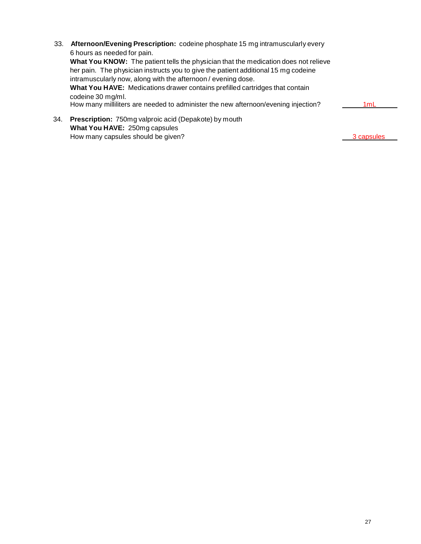| 33. | Afternoon/Evening Prescription: codeine phosphate 15 mg intramuscularly every<br>6 hours as needed for pain.<br>What You KNOW: The patient tells the physician that the medication does not relieve<br>her pain. The physician instructs you to give the patient additional 15 mg codeine<br>intramuscularly now, along with the afternoon / evening dose.<br>What You HAVE: Medications drawer contains prefilled cartridges that contain |            |
|-----|--------------------------------------------------------------------------------------------------------------------------------------------------------------------------------------------------------------------------------------------------------------------------------------------------------------------------------------------------------------------------------------------------------------------------------------------|------------|
|     | codeine 30 mg/ml.<br>How many milliliters are needed to administer the new afternoon/evening injection?                                                                                                                                                                                                                                                                                                                                    | 1mL        |
| 34. | Prescription: 750mg valproic acid (Depakote) by mouth<br>What You HAVE: 250mg capsules<br>How many capsules should be given?                                                                                                                                                                                                                                                                                                               | 3 capsules |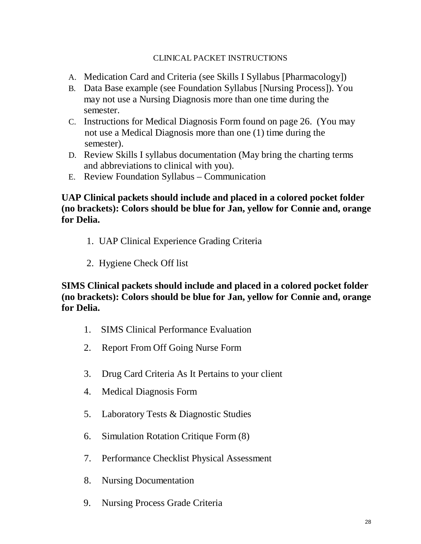#### CLINICAL PACKET INSTRUCTIONS

- A. Medication Card and Criteria (see Skills I Syllabus [Pharmacology])
- B. Data Base example (see Foundation Syllabus [Nursing Process]). You may not use a Nursing Diagnosis more than one time during the semester.
- C. Instructions for Medical Diagnosis Form found on page 26. (You may not use a Medical Diagnosis more than one (1) time during the semester).
- D. Review Skills I syllabus documentation (May bring the charting terms and abbreviations to clinical with you).
- E. Review Foundation Syllabus Communication

## **UAP Clinical packets should include and placed in a colored pocket folder (no brackets): Colors should be blue for Jan, yellow for Connie and, orange for Delia.**

- 1. UAP Clinical Experience Grading Criteria
- 2. Hygiene Check Off list

## **SIMS Clinical packets should include and placed in a colored pocket folder (no brackets): Colors should be blue for Jan, yellow for Connie and, orange for Delia.**

- 1. SIMS Clinical Performance Evaluation
- 2. Report From Off Going Nurse Form
- 3. Drug Card Criteria As It Pertains to your client
- 4. Medical Diagnosis Form
- 5. Laboratory Tests & Diagnostic Studies
- 6. Simulation Rotation Critique Form (8)
- 7. Performance Checklist Physical Assessment
- 8. Nursing Documentation
- 9. Nursing Process Grade Criteria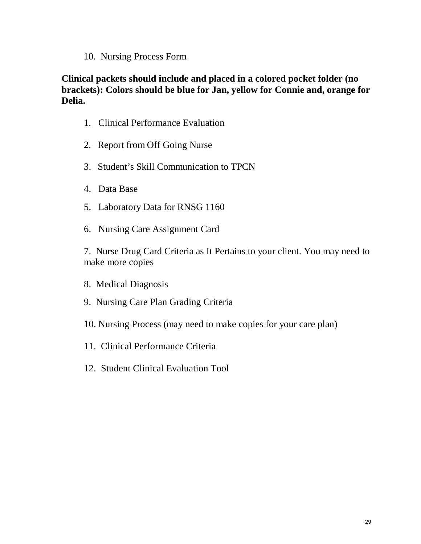#### 10. Nursing Process Form

**Clinical packets should include and placed in a colored pocket folder (no brackets): Colors should be blue for Jan, yellow for Connie and, orange for Delia.**

- 1. Clinical Performance Evaluation
- 2. Report from Off Going Nurse
- 3. Student's Skill Communication to TPCN
- 4. Data Base
- 5. Laboratory Data for RNSG 1160
- 6. Nursing Care Assignment Card

7. Nurse Drug Card Criteria as It Pertains to your client. You may need to make more copies

- 8. Medical Diagnosis
- 9. Nursing Care Plan Grading Criteria
- 10. Nursing Process (may need to make copies for your care plan)
- 11. Clinical Performance Criteria
- 12. Student Clinical Evaluation Tool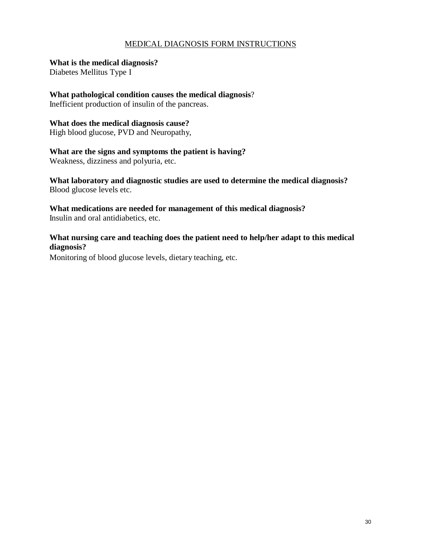#### MEDICAL DIAGNOSIS FORM INSTRUCTIONS

#### **What is the medical diagnosis?**

Diabetes Mellitus Type I

#### **What pathological condition causes the medical diagnosis**?

Inefficient production of insulin of the pancreas.

#### **What does the medical diagnosis cause?**

High blood glucose, PVD and Neuropathy,

#### **What are the signs and symptoms the patient is having?**

Weakness, dizziness and polyuria, etc.

**What laboratory and diagnostic studies are used to determine the medical diagnosis?** Blood glucose levels etc.

**What medications are needed for management of this medical diagnosis?**  Insulin and oral antidiabetics, etc.

**What nursing care and teaching does the patient need to help/her adapt to this medical diagnosis?** 

Monitoring of blood glucose levels, dietary teaching, etc.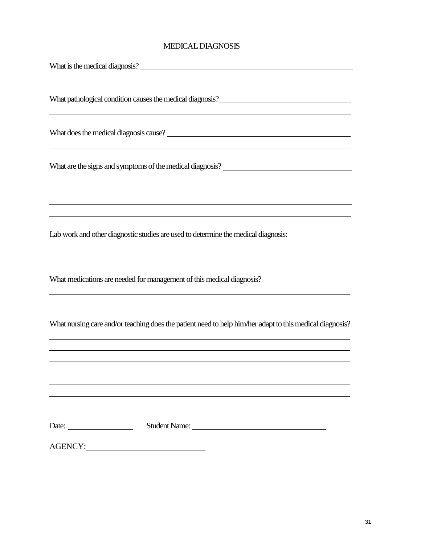#### MEDICALDIAGNOSIS

| What pathological condition causes the medical diagnosis?<br><u>Languara and the medical diagnosis</u>                                                                                                                                 |
|----------------------------------------------------------------------------------------------------------------------------------------------------------------------------------------------------------------------------------------|
|                                                                                                                                                                                                                                        |
|                                                                                                                                                                                                                                        |
|                                                                                                                                                                                                                                        |
| Lab work and other diagnostic studies are used to determine the medical diagnosis:<br>,我们也不会有什么。""我们的人,我们也不会有什么?""我们的人,我们也不会有什么?""我们的人,我们也不会有什么?""我们的人,我们也不会有什么?""我们的人                                                                 |
| What medications are needed for management of this medical diagnosis?<br><u>Letter and the set of the set of the set of the set of the set of the set of the set of the set of the set of the set of the set of the set of the set</u> |
| What nursing care and/or teaching does the patient need to help him/her adapt to this medical diagnosis?                                                                                                                               |
|                                                                                                                                                                                                                                        |
|                                                                                                                                                                                                                                        |
| Date:                                                                                                                                                                                                                                  |
|                                                                                                                                                                                                                                        |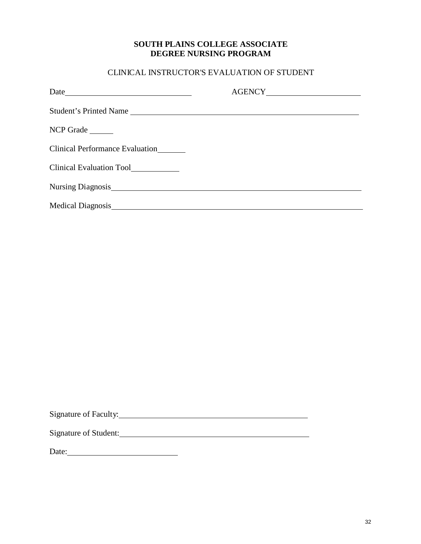#### **SOUTH PLAINS COLLEGE ASSOCIATE DEGREE NURSING PROGRAM**

#### CLINICAL INSTRUCTOR'S EVALUATION OF STUDENT

| Student's Printed Name          |  |
|---------------------------------|--|
| NCP Grade                       |  |
| Clinical Performance Evaluation |  |
| Clinical Evaluation Tool        |  |
|                                 |  |
|                                 |  |

Signature of Faculty:

Signature of Student:

Date: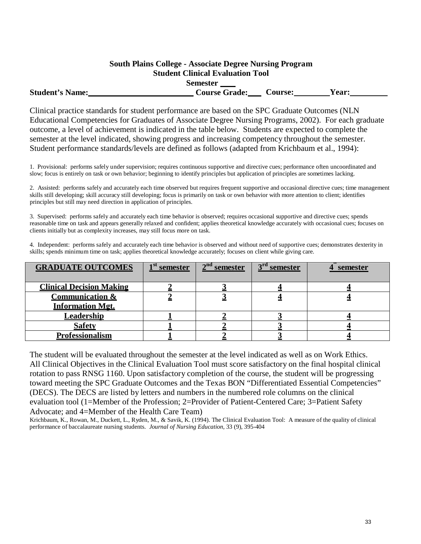|                        | <b>South Plains College - Associate Degree Nursing Program</b> |                |              |
|------------------------|----------------------------------------------------------------|----------------|--------------|
|                        | <b>Student Clinical Evaluation Tool</b>                        |                |              |
|                        | <b>Semester</b>                                                |                |              |
| <b>Student's Name:</b> | <b>Course Grade:</b>                                           | <b>Course:</b> | <b>Year:</b> |

Clinical practice standards for student performance are based on the SPC Graduate Outcomes (NLN Educational Competencies for Graduates of Associate Degree Nursing Programs, 2002). For each graduate outcome, a level of achievement is indicated in the table below. Students are expected to complete the semester at the level indicated, showing progress and increasing competency throughout the semester. Student performance standards/levels are defined as follows (adapted from Krichbaum et al., 1994):

1. Provisional: performs safely under supervision; requires continuous supportive and directive cues; performance often uncoordinated and slow; focus is entirely on task or own behavior; beginning to identify principles but application of principles are sometimes lacking.

2. Assisted: performs safely and accurately each time observed but requires frequent supportive and occasional directive cues; time management skills still developing; skill accuracy still developing; focus is primarily on task or own behavior with more attention to client; identifies principles but still may need direction in application of principles.

3. Supervised: performs safely and accurately each time behavior is observed; requires occasional supportive and directive cues; spends reasonable time on task and appears generally relaxed and confident; applies theoretical knowledge accurately with occasional cues; focuses on clients initially but as complexity increases, may still focus more on task.

4. Independent: performs safely and accurately each time behavior is observed and without need of supportive cues; demonstrates dexterity in skills; spends minimum time on task; applies theoretical knowledge accurately; focuses on client while giving care.

| <b>GRADUATE OUTCOMES</b>                              | ı St<br>semester | $2nd$ semester | $3rd$ semester | semester |
|-------------------------------------------------------|------------------|----------------|----------------|----------|
| <b>Clinical Decision Making</b>                       |                  |                |                |          |
| <b>Communication &amp;</b><br><b>Information Mgt.</b> |                  |                |                |          |
| <u>Leadership</u>                                     |                  |                |                |          |
| <b>Safety</b>                                         |                  |                |                |          |
| <b>Professionalism</b>                                |                  |                |                |          |

The student will be evaluated throughout the semester at the level indicated as well as on Work Ethics. All Clinical Objectives in the Clinical Evaluation Tool must score satisfactory on the final hospital clinical rotation to pass RNSG 1160. Upon satisfactory completion of the course, the student will be progressing toward meeting the SPC Graduate Outcomes and the Texas BON "Differentiated Essential Competencies" (DECS). The DECS are listed by letters and numbers in the numbered role columns on the clinical evaluation tool (1=Member of the Profession; 2=Provider of Patient-Centered Care; 3=Patient Safety Advocate; and 4=Member of the Health Care Team)

Krichbaum, K., Rowan, M., Duckett, L., Ryden, M., & Savik, K. (1994). The Clinical Evaluation Tool: A measure of the quality of clinical performance of baccalaureate nursing students. *Journal of Nursing Education,* 33 (9), 395-404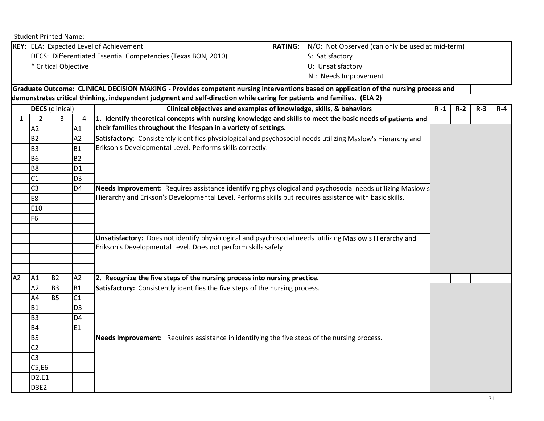|              |                 | <b>Student Printed Name:</b> |                |                                                                                                                                                                                                                                                                  |         |       |       |       |
|--------------|-----------------|------------------------------|----------------|------------------------------------------------------------------------------------------------------------------------------------------------------------------------------------------------------------------------------------------------------------------|---------|-------|-------|-------|
|              |                 |                              |                | KEY: ELA: Expected Level of Achievement<br>RATING: N/O: Not Observed (can only be used at mid-term)                                                                                                                                                              |         |       |       |       |
|              |                 |                              |                | DECS: Differentiated Essential Competencies (Texas BON, 2010)<br>S: Satisfactory                                                                                                                                                                                 |         |       |       |       |
|              |                 | * Critical Objective         |                | U: Unsatisfactory                                                                                                                                                                                                                                                |         |       |       |       |
|              |                 |                              |                | NI: Needs Improvement                                                                                                                                                                                                                                            |         |       |       |       |
|              |                 |                              |                | Graduate Outcome: CLINICAL DECISION MAKING - Provides competent nursing interventions based on application of the nursing process and<br>demonstrates critical thinking, independent judgment and self-direction while caring for patients and families. (ELA 2) |         |       |       |       |
|              |                 | <b>DECS</b> (clinical)       |                | Clinical objectives and examples of knowledge, skills, & behaviors                                                                                                                                                                                               | $R - 1$ | $R-2$ | $R-3$ | $R-4$ |
| $\mathbf{1}$ | $\overline{2}$  | $\overline{3}$               | 4              | 1. Identify theoretical concepts with nursing knowledge and skills to meet the basic needs of patients and                                                                                                                                                       |         |       |       |       |
|              | A2              |                              | A1             | their families throughout the lifespan in a variety of settings.                                                                                                                                                                                                 |         |       |       |       |
|              | <b>B2</b>       |                              | A2             | Satisfactory: Consistently identifies physiological and psychosocial needs utilizing Maslow's Hierarchy and                                                                                                                                                      |         |       |       |       |
|              | B <sub>3</sub>  |                              | <b>B1</b>      | Erikson's Developmental Level. Performs skills correctly.                                                                                                                                                                                                        |         |       |       |       |
|              | <b>B6</b>       |                              | <b>B2</b>      |                                                                                                                                                                                                                                                                  |         |       |       |       |
|              | B <sub>8</sub>  |                              | D <sub>1</sub> |                                                                                                                                                                                                                                                                  |         |       |       |       |
|              | C1              |                              | D <sub>3</sub> |                                                                                                                                                                                                                                                                  |         |       |       |       |
|              | C <sub>3</sub>  |                              | D <sub>4</sub> | Needs Improvement: Requires assistance identifying physiological and psychosocial needs utilizing Maslow's                                                                                                                                                       |         |       |       |       |
|              | E8              |                              |                | Hierarchy and Erikson's Developmental Level. Performs skills but requires assistance with basic skills.                                                                                                                                                          |         |       |       |       |
|              | E10             |                              |                |                                                                                                                                                                                                                                                                  |         |       |       |       |
|              | F <sub>6</sub>  |                              |                |                                                                                                                                                                                                                                                                  |         |       |       |       |
|              |                 |                              |                | Unsatisfactory: Does not identify physiological and psychosocial needs utilizing Maslow's Hierarchy and<br>Erikson's Developmental Level. Does not perform skills safely.                                                                                        |         |       |       |       |
| A2           | A1              | <b>B2</b>                    | A2             | 2. Recognize the five steps of the nursing process into nursing practice.                                                                                                                                                                                        |         |       |       |       |
|              | A2              | B <sub>3</sub>               | <b>B1</b>      | Satisfactory: Consistently identifies the five steps of the nursing process.                                                                                                                                                                                     |         |       |       |       |
|              | A4              | <b>B5</b>                    | C1             |                                                                                                                                                                                                                                                                  |         |       |       |       |
|              | <b>B1</b>       |                              | D <sub>3</sub> |                                                                                                                                                                                                                                                                  |         |       |       |       |
|              | B <sub>3</sub>  |                              | D <sub>4</sub> |                                                                                                                                                                                                                                                                  |         |       |       |       |
|              | <b>B4</b>       |                              | E <sub>1</sub> |                                                                                                                                                                                                                                                                  |         |       |       |       |
|              | <b>B5</b>       |                              |                | Needs Improvement: Requires assistance in identifying the five steps of the nursing process.                                                                                                                                                                     |         |       |       |       |
|              | C <sub>2</sub>  |                              |                |                                                                                                                                                                                                                                                                  |         |       |       |       |
|              | $\overline{C3}$ |                              |                |                                                                                                                                                                                                                                                                  |         |       |       |       |
|              | C5, E6          |                              |                |                                                                                                                                                                                                                                                                  |         |       |       |       |
|              | D2,E1           |                              |                |                                                                                                                                                                                                                                                                  |         |       |       |       |
|              | <b>D3E2</b>     |                              |                |                                                                                                                                                                                                                                                                  |         |       |       |       |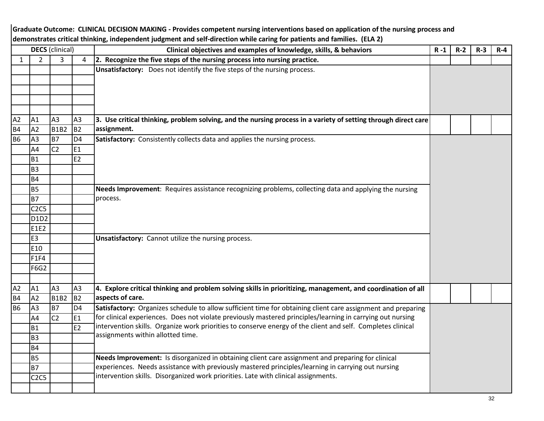#### Graduate Outcome: CLINICAL DECISION MAKING - Provides competent nursing interventions based on application of the nursing process and **demonstrates critical thinking, independent judgment and self-direction while caring for patients and families. (ELA 2)**

|                |                               | <b>DECS</b> (clinical) |                | Clinical objectives and examples of knowledge, skills, & behaviors                                                                                                                                                         | $R - 1$ | $R-2$ | $R-3$ | $R-4$ |
|----------------|-------------------------------|------------------------|----------------|----------------------------------------------------------------------------------------------------------------------------------------------------------------------------------------------------------------------------|---------|-------|-------|-------|
| 1              | $\overline{2}$                | 3                      | 4              | 2. Recognize the five steps of the nursing process into nursing practice.                                                                                                                                                  |         |       |       |       |
|                |                               |                        |                | Unsatisfactory: Does not identify the five steps of the nursing process.                                                                                                                                                   |         |       |       |       |
|                |                               |                        |                |                                                                                                                                                                                                                            |         |       |       |       |
|                |                               |                        |                |                                                                                                                                                                                                                            |         |       |       |       |
|                |                               |                        |                |                                                                                                                                                                                                                            |         |       |       |       |
|                |                               |                        |                |                                                                                                                                                                                                                            |         |       |       |       |
| A2             | A1                            | A3                     | A <sub>3</sub> | 3. Use critical thinking, problem solving, and the nursing process in a variety of setting through direct care                                                                                                             |         |       |       |       |
| B4             | A2                            | <b>B1B2</b>            | <b>B2</b>      | assignment.                                                                                                                                                                                                                |         |       |       |       |
| B <sub>6</sub> | A3                            | <b>B7</b>              | D <sub>4</sub> | Satisfactory: Consistently collects data and applies the nursing process.                                                                                                                                                  |         |       |       |       |
|                | AA                            | C <sub>2</sub>         | E1             |                                                                                                                                                                                                                            |         |       |       |       |
|                | <b>B1</b>                     |                        | E <sub>2</sub> |                                                                                                                                                                                                                            |         |       |       |       |
|                | <b>B3</b>                     |                        |                |                                                                                                                                                                                                                            |         |       |       |       |
|                | <b>B4</b>                     |                        |                |                                                                                                                                                                                                                            |         |       |       |       |
|                | <b>B5</b>                     |                        |                | Needs Improvement: Requires assistance recognizing problems, collecting data and applying the nursing                                                                                                                      |         |       |       |       |
|                | <b>B7</b>                     |                        |                | process.                                                                                                                                                                                                                   |         |       |       |       |
|                | C2C5                          |                        |                |                                                                                                                                                                                                                            |         |       |       |       |
|                | D1D2                          |                        |                |                                                                                                                                                                                                                            |         |       |       |       |
|                | E1E2                          |                        |                |                                                                                                                                                                                                                            |         |       |       |       |
|                | E <sub>3</sub>                |                        |                | Unsatisfactory: Cannot utilize the nursing process.                                                                                                                                                                        |         |       |       |       |
|                | E10                           |                        |                |                                                                                                                                                                                                                            |         |       |       |       |
|                | F1F4                          |                        |                |                                                                                                                                                                                                                            |         |       |       |       |
|                | F6G2                          |                        |                |                                                                                                                                                                                                                            |         |       |       |       |
|                |                               |                        |                |                                                                                                                                                                                                                            |         |       |       |       |
| A2             | A1                            | A <sub>3</sub>         | A <sub>3</sub> | 4. Explore critical thinking and problem solving skills in prioritizing, management, and coordination of all                                                                                                               |         |       |       |       |
| <b>B4</b>      | A2                            | <b>B1B2</b>            | <b>B2</b>      | aspects of care.                                                                                                                                                                                                           |         |       |       |       |
| <b>B6</b>      | A <sub>3</sub>                | <b>B7</b>              | D <sub>4</sub> | Satisfactory: Organizes schedule to allow sufficient time for obtaining client care assignment and preparing<br>for clinical experiences. Does not violate previously mastered principles/learning in carrying out nursing |         |       |       |       |
|                | A4                            | C <sub>2</sub>         | E1             | intervention skills. Organize work priorities to conserve energy of the client and self. Completes clinical                                                                                                                |         |       |       |       |
|                | <b>B1</b>                     |                        | E <sub>2</sub> | assignments within allotted time.                                                                                                                                                                                          |         |       |       |       |
|                | B <sub>3</sub>                |                        |                |                                                                                                                                                                                                                            |         |       |       |       |
|                | <b>B4</b>                     |                        |                |                                                                                                                                                                                                                            |         |       |       |       |
|                | <b>B5</b>                     |                        |                | Needs Improvement: Is disorganized in obtaining client care assignment and preparing for clinical<br>experiences. Needs assistance with previously mastered principles/learning in carrying out nursing                    |         |       |       |       |
|                | <b>B7</b>                     |                        |                | intervention skills. Disorganized work priorities. Late with clinical assignments.                                                                                                                                         |         |       |       |       |
|                | C <sub>2</sub> C <sub>5</sub> |                        |                |                                                                                                                                                                                                                            |         |       |       |       |
|                |                               |                        |                |                                                                                                                                                                                                                            |         |       |       |       |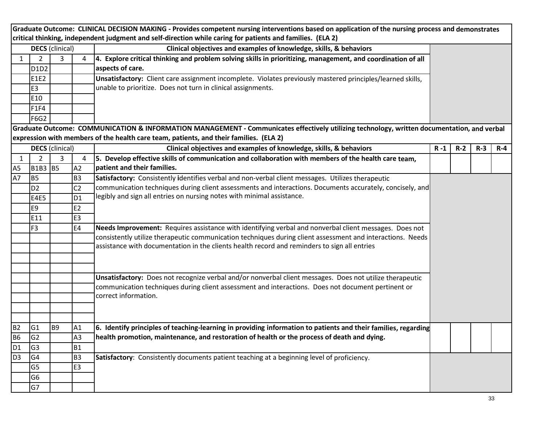|                |                |                        |                | Graduate Outcome: CLINICAL DECISION MAKING - Provides competent nursing interventions based on application of the nursing process and demonstrates<br>critical thinking, independent judgment and self-direction while caring for patients and families. (ELA 2) |         |       |       |       |
|----------------|----------------|------------------------|----------------|------------------------------------------------------------------------------------------------------------------------------------------------------------------------------------------------------------------------------------------------------------------|---------|-------|-------|-------|
|                |                | <b>DECS</b> (clinical) |                | Clinical objectives and examples of knowledge, skills, & behaviors                                                                                                                                                                                               |         |       |       |       |
| $\mathbf{1}$   | 2              | 3                      | 4              | 4. Explore critical thinking and problem solving skills in prioritizing, management, and coordination of all                                                                                                                                                     |         |       |       |       |
|                | D1D2           |                        |                | aspects of care.                                                                                                                                                                                                                                                 |         |       |       |       |
|                | E1E2           |                        |                | Unsatisfactory: Client care assignment incomplete. Violates previously mastered principles/learned skills,                                                                                                                                                       |         |       |       |       |
|                | E <sub>3</sub> |                        |                | unable to prioritize. Does not turn in clinical assignments.                                                                                                                                                                                                     |         |       |       |       |
|                | E10            |                        |                |                                                                                                                                                                                                                                                                  |         |       |       |       |
|                | F1F4           |                        |                |                                                                                                                                                                                                                                                                  |         |       |       |       |
|                | F6G2           |                        |                |                                                                                                                                                                                                                                                                  |         |       |       |       |
|                |                |                        |                | Graduate Outcome: COMMUNICATION & INFORMATION MANAGEMENT - Communicates effectively utilizing technology, written documentation, and verbal<br>expression with members of the health care team, patients, and their families. (ELA 2)                            |         |       |       |       |
|                |                | <b>DECS</b> (clinical) |                | Clinical objectives and examples of knowledge, skills, & behaviors                                                                                                                                                                                               | $R - 1$ | $R-2$ | $R-3$ | $R-4$ |
|                | $\overline{2}$ | 3                      | 4              | 5. Develop effective skills of communication and collaboration with members of the health care team,                                                                                                                                                             |         |       |       |       |
| A <sub>5</sub> | <b>B1B3</b> B5 |                        | A2             | patient and their families.                                                                                                                                                                                                                                      |         |       |       |       |
| A7             | <b>B5</b>      |                        | <b>B3</b>      | Satisfactory: Consistently identifies verbal and non-verbal client messages. Utilizes therapeutic                                                                                                                                                                |         |       |       |       |
|                | D <sub>2</sub> |                        | C <sub>2</sub> | communication techniques during client assessments and interactions. Documents accurately, concisely, and                                                                                                                                                        |         |       |       |       |
|                | E4E5           |                        | D1             | legibly and sign all entries on nursing notes with minimal assistance.                                                                                                                                                                                           |         |       |       |       |
|                | E9             |                        | E <sub>2</sub> |                                                                                                                                                                                                                                                                  |         |       |       |       |
|                | E11            |                        | E <sub>3</sub> |                                                                                                                                                                                                                                                                  |         |       |       |       |
|                | F3             |                        | E4             | Needs Improvement: Requires assistance with identifying verbal and nonverbal client messages. Does not                                                                                                                                                           |         |       |       |       |
|                |                |                        |                | consistently utilize therapeutic communication techniques during client assessment and interactions. Needs                                                                                                                                                       |         |       |       |       |
|                |                |                        |                | assistance with documentation in the clients health record and reminders to sign all entries                                                                                                                                                                     |         |       |       |       |
|                |                |                        |                |                                                                                                                                                                                                                                                                  |         |       |       |       |
|                |                |                        |                |                                                                                                                                                                                                                                                                  |         |       |       |       |
|                |                |                        |                | Unsatisfactory: Does not recognize verbal and/or nonverbal client messages. Does not utilize therapeutic                                                                                                                                                         |         |       |       |       |
|                |                |                        |                | communication techniques during client assessment and interactions. Does not document pertinent or                                                                                                                                                               |         |       |       |       |
|                |                |                        |                | correct information.                                                                                                                                                                                                                                             |         |       |       |       |
|                |                |                        |                |                                                                                                                                                                                                                                                                  |         |       |       |       |
|                |                |                        |                |                                                                                                                                                                                                                                                                  |         |       |       |       |
| <b>B2</b>      | G <sub>1</sub> | B <sub>9</sub>         | A1             | 6. Identify principles of teaching-learning in providing information to patients and their families, regarding                                                                                                                                                   |         |       |       |       |
| <b>B6</b>      | G <sub>2</sub> |                        | A3             | health promotion, maintenance, and restoration of health or the process of death and dying.                                                                                                                                                                      |         |       |       |       |
| D <sub>1</sub> | G <sub>3</sub> |                        | <b>B1</b>      |                                                                                                                                                                                                                                                                  |         |       |       |       |
| D <sub>3</sub> | G <sub>4</sub> |                        | <b>B3</b>      | Satisfactory: Consistently documents patient teaching at a beginning level of proficiency.                                                                                                                                                                       |         |       |       |       |
|                | G <sub>5</sub> |                        | E3             |                                                                                                                                                                                                                                                                  |         |       |       |       |
|                | G <sub>6</sub> |                        |                |                                                                                                                                                                                                                                                                  |         |       |       |       |
|                | G7             |                        |                |                                                                                                                                                                                                                                                                  |         |       |       |       |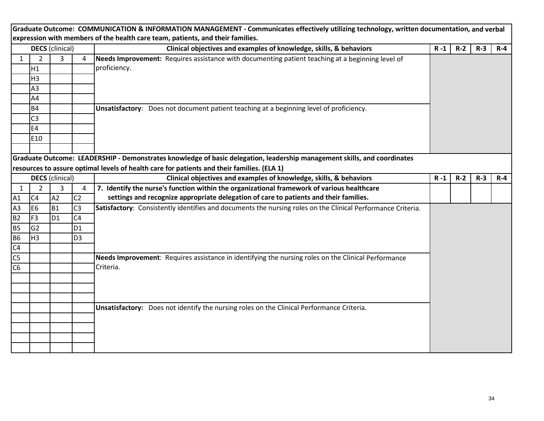|                |                |                        |                 | Graduate Outcome: COMMUNICATION & INFORMATION MANAGEMENT - Communicates effectively utilizing technology, written documentation, and verbal<br>expression with members of the health care team, patients, and their families. |         |       |       |         |
|----------------|----------------|------------------------|-----------------|-------------------------------------------------------------------------------------------------------------------------------------------------------------------------------------------------------------------------------|---------|-------|-------|---------|
|                |                | <b>DECS</b> (clinical) |                 | Clinical objectives and examples of knowledge, skills, & behaviors                                                                                                                                                            | $R - 1$ | $R-2$ | $R-3$ | $R - 4$ |
| $\mathbf{1}$   | 2              | 3                      | 4               | Needs Improvement: Requires assistance with documenting patient teaching at a beginning level of                                                                                                                              |         |       |       |         |
|                | H1             |                        |                 | proficiency.                                                                                                                                                                                                                  |         |       |       |         |
|                | H <sub>3</sub> |                        |                 |                                                                                                                                                                                                                               |         |       |       |         |
|                | A <sub>3</sub> |                        |                 |                                                                                                                                                                                                                               |         |       |       |         |
|                | A4             |                        |                 |                                                                                                                                                                                                                               |         |       |       |         |
|                | <b>B4</b>      |                        |                 | Unsatisfactory: Does not document patient teaching at a beginning level of proficiency.                                                                                                                                       |         |       |       |         |
|                | C <sub>3</sub> |                        |                 |                                                                                                                                                                                                                               |         |       |       |         |
|                | E <sub>4</sub> |                        |                 |                                                                                                                                                                                                                               |         |       |       |         |
|                | E10            |                        |                 |                                                                                                                                                                                                                               |         |       |       |         |
|                |                |                        |                 |                                                                                                                                                                                                                               |         |       |       |         |
|                |                |                        |                 | Graduate Outcome: LEADERSHIP - Demonstrates knowledge of basic delegation, leadership management skills, and coordinates                                                                                                      |         |       |       |         |
|                |                |                        |                 | resources to assure optimal levels of health care for patients and their families. (ELA 1)                                                                                                                                    |         |       |       |         |
|                |                | <b>DECS</b> (clinical) |                 | Clinical objectives and examples of knowledge, skills, & behaviors                                                                                                                                                            | $R - 1$ | $R-2$ | $R-3$ | $R - 4$ |
| $\mathbf{1}$   | $\overline{2}$ | $\overline{3}$         | 4               | 7. Identify the nurse's function within the organizational framework of various healthcare                                                                                                                                    |         |       |       |         |
| A1             | C <sub>4</sub> | A2                     | C <sub>2</sub>  | settings and recognize appropriate delegation of care to patients and their families.                                                                                                                                         |         |       |       |         |
| A <sub>3</sub> | E <sub>6</sub> | <b>B1</b>              | $\overline{C3}$ | Satisfactory: Consistently identifies and documents the nursing roles on the Clinical Performance Criteria.                                                                                                                   |         |       |       |         |
| B <sub>2</sub> | F <sub>3</sub> | <b>D1</b>              | C <sub>4</sub>  |                                                                                                                                                                                                                               |         |       |       |         |
| <b>B5</b>      | G <sub>2</sub> |                        | D <sub>1</sub>  |                                                                                                                                                                                                                               |         |       |       |         |
| <b>B6</b>      | H <sub>3</sub> |                        | D <sub>3</sub>  |                                                                                                                                                                                                                               |         |       |       |         |
| C4             |                |                        |                 |                                                                                                                                                                                                                               |         |       |       |         |
| C <sub>5</sub> |                |                        |                 | Needs Improvement: Requires assistance in identifying the nursing roles on the Clinical Performance                                                                                                                           |         |       |       |         |
| C <sub>6</sub> |                |                        |                 | Criteria.                                                                                                                                                                                                                     |         |       |       |         |
|                |                |                        |                 |                                                                                                                                                                                                                               |         |       |       |         |
|                |                |                        |                 |                                                                                                                                                                                                                               |         |       |       |         |
|                |                |                        |                 |                                                                                                                                                                                                                               |         |       |       |         |
|                |                |                        |                 | Unsatisfactory: Does not identify the nursing roles on the Clinical Performance Criteria.                                                                                                                                     |         |       |       |         |
|                |                |                        |                 |                                                                                                                                                                                                                               |         |       |       |         |
|                |                |                        |                 |                                                                                                                                                                                                                               |         |       |       |         |
|                |                |                        |                 |                                                                                                                                                                                                                               |         |       |       |         |
|                |                |                        |                 |                                                                                                                                                                                                                               |         |       |       |         |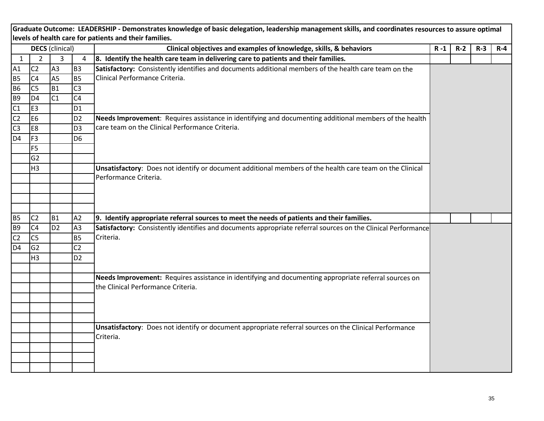|                |                                                                                                         |                |                | Graduate Outcome: LEADERSHIP - Demonstrates knowledge of basic delegation, leadership management skills, and coordinates resources to assure optimal<br>levels of health care for patients and their families. |  |  |  |         |
|----------------|---------------------------------------------------------------------------------------------------------|----------------|----------------|----------------------------------------------------------------------------------------------------------------------------------------------------------------------------------------------------------------|--|--|--|---------|
|                | Clinical objectives and examples of knowledge, skills, & behaviors<br><b>DECS</b> (clinical)<br>$R - 1$ |                |                |                                                                                                                                                                                                                |  |  |  | $R - 4$ |
| 1              | $\overline{2}$                                                                                          | 3              | 4              | 8. Identify the health care team in delivering care to patients and their families.                                                                                                                            |  |  |  |         |
| A1             | C <sub>2</sub>                                                                                          | A3             | B <sub>3</sub> | Satisfactory: Consistently identifies and documents additional members of the health care team on the                                                                                                          |  |  |  |         |
| <b>B5</b>      | C <sub>4</sub>                                                                                          | A <sub>5</sub> | <b>B5</b>      | Clinical Performance Criteria.                                                                                                                                                                                 |  |  |  |         |
| <b>B6</b>      | C <sub>5</sub>                                                                                          | B1             | C3             |                                                                                                                                                                                                                |  |  |  |         |
| <b>B9</b>      | D <sub>4</sub>                                                                                          | C1             | C4             |                                                                                                                                                                                                                |  |  |  |         |
| C1             | E <sub>3</sub>                                                                                          |                | D1             |                                                                                                                                                                                                                |  |  |  |         |
| C <sub>2</sub> | E <sub>6</sub>                                                                                          |                | D <sub>2</sub> | Needs Improvement: Requires assistance in identifying and documenting additional members of the health                                                                                                         |  |  |  |         |
| C <sub>3</sub> | E8                                                                                                      |                | D <sub>3</sub> | care team on the Clinical Performance Criteria.                                                                                                                                                                |  |  |  |         |
| D <sub>4</sub> | F <sub>3</sub>                                                                                          |                | D <sub>6</sub> |                                                                                                                                                                                                                |  |  |  |         |
|                | F <sub>5</sub>                                                                                          |                |                |                                                                                                                                                                                                                |  |  |  |         |
|                | G <sub>2</sub>                                                                                          |                |                |                                                                                                                                                                                                                |  |  |  |         |
|                | H <sub>3</sub>                                                                                          |                |                | Unsatisfactory: Does not identify or document additional members of the health care team on the Clinical                                                                                                       |  |  |  |         |
|                |                                                                                                         |                |                | Performance Criteria.                                                                                                                                                                                          |  |  |  |         |
|                |                                                                                                         |                |                |                                                                                                                                                                                                                |  |  |  |         |
|                |                                                                                                         |                |                |                                                                                                                                                                                                                |  |  |  |         |
|                |                                                                                                         |                |                |                                                                                                                                                                                                                |  |  |  |         |
| <b>B5</b>      | C <sub>2</sub>                                                                                          | <b>B1</b>      | A2             | 9. Identify appropriate referral sources to meet the needs of patients and their families.                                                                                                                     |  |  |  |         |
| <b>B9</b>      | C <sub>4</sub>                                                                                          | D <sub>2</sub> | A <sub>3</sub> | Satisfactory: Consistently identifies and documents appropriate referral sources on the Clinical Performance                                                                                                   |  |  |  |         |
| C <sub>2</sub> | C <sub>5</sub>                                                                                          |                | <b>B5</b>      | Criteria.                                                                                                                                                                                                      |  |  |  |         |
| D <sub>4</sub> | G <sub>2</sub>                                                                                          |                | C <sub>2</sub> |                                                                                                                                                                                                                |  |  |  |         |
|                | H <sub>3</sub>                                                                                          |                | D <sub>2</sub> |                                                                                                                                                                                                                |  |  |  |         |
|                |                                                                                                         |                |                |                                                                                                                                                                                                                |  |  |  |         |
|                |                                                                                                         |                |                | Needs Improvement: Requires assistance in identifying and documenting appropriate referral sources on                                                                                                          |  |  |  |         |
|                |                                                                                                         |                |                | the Clinical Performance Criteria.                                                                                                                                                                             |  |  |  |         |
|                |                                                                                                         |                |                |                                                                                                                                                                                                                |  |  |  |         |
|                |                                                                                                         |                |                |                                                                                                                                                                                                                |  |  |  |         |
|                |                                                                                                         |                |                |                                                                                                                                                                                                                |  |  |  |         |
|                |                                                                                                         |                |                | Unsatisfactory: Does not identify or document appropriate referral sources on the Clinical Performance                                                                                                         |  |  |  |         |
|                |                                                                                                         |                |                | Criteria.                                                                                                                                                                                                      |  |  |  |         |
|                |                                                                                                         |                |                |                                                                                                                                                                                                                |  |  |  |         |
|                |                                                                                                         |                |                |                                                                                                                                                                                                                |  |  |  |         |
|                |                                                                                                         |                |                |                                                                                                                                                                                                                |  |  |  |         |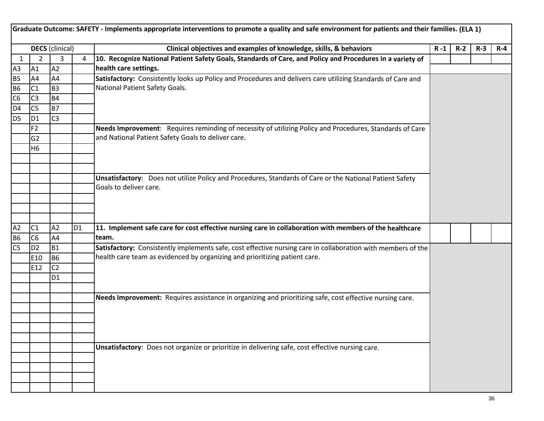| <b>DECS</b> (clinical)<br>Clinical objectives and examples of knowledge, skills, & behaviors<br>$R - 1$<br>$R-2$<br>$R-3$<br>10. Recognize National Patient Safety Goals, Standards of Care, and Policy and Procedures in a variety of<br>3<br>2<br>4<br>1<br>health care settings.<br>A <sub>2</sub><br>A3<br>A1<br>Satisfactory: Consistently looks up Policy and Procedures and delivers care utilizing Standards of Care and<br>B <sub>5</sub><br>A4<br>A4<br>National Patient Safety Goals.<br><b>B6</b><br>B <sub>3</sub><br>C1<br>C <sub>6</sub><br>C <sub>3</sub><br><b>B4</b><br>D <sub>4</sub><br>C <sub>5</sub><br><b>B7</b><br>C <sub>3</sub><br>D <sub>5</sub><br>D <sub>1</sub><br>Needs Improvement: Requires reminding of necessity of utilizing Policy and Procedures, Standards of Care<br>F <sub>2</sub><br>and National Patient Safety Goals to deliver care.<br>G <sub>2</sub><br>H <sub>6</sub><br>Unsatisfactory: Does not utilize Policy and Procedures, Standards of Care or the National Patient Safety<br>Goals to deliver care.<br>11. Implement safe care for cost effective nursing care in collaboration with members of the healthcare<br>A2<br>C1<br>D <sub>1</sub><br>A2<br><b>B6</b><br>C <sub>6</sub><br>A4<br>team.<br>C <sub>5</sub><br>Satisfactory: Consistently implements safe, cost effective nursing care in collaboration with members of the<br><b>B1</b><br>D <sub>2</sub><br>health care team as evidenced by organizing and prioritizing patient care.<br>E10<br>B <sub>6</sub><br>E12<br>C <sub>2</sub><br>D <sub>1</sub><br>Needs Improvement: Requires assistance in organizing and prioritizing safe, cost effective nursing care.<br>Unsatisfactory: Does not organize or prioritize in delivering safe, cost effective nursing care. |  |  | Graduate Outcome: SAFETY - Implements appropriate interventions to promote a quality and safe environment for patients and their families. (ELA 1) |  |         |
|---------------------------------------------------------------------------------------------------------------------------------------------------------------------------------------------------------------------------------------------------------------------------------------------------------------------------------------------------------------------------------------------------------------------------------------------------------------------------------------------------------------------------------------------------------------------------------------------------------------------------------------------------------------------------------------------------------------------------------------------------------------------------------------------------------------------------------------------------------------------------------------------------------------------------------------------------------------------------------------------------------------------------------------------------------------------------------------------------------------------------------------------------------------------------------------------------------------------------------------------------------------------------------------------------------------------------------------------------------------------------------------------------------------------------------------------------------------------------------------------------------------------------------------------------------------------------------------------------------------------------------------------------------------------------------------------------------------------------------------------------------------------------------------------|--|--|----------------------------------------------------------------------------------------------------------------------------------------------------|--|---------|
|                                                                                                                                                                                                                                                                                                                                                                                                                                                                                                                                                                                                                                                                                                                                                                                                                                                                                                                                                                                                                                                                                                                                                                                                                                                                                                                                                                                                                                                                                                                                                                                                                                                                                                                                                                                             |  |  |                                                                                                                                                    |  | $R - 4$ |
|                                                                                                                                                                                                                                                                                                                                                                                                                                                                                                                                                                                                                                                                                                                                                                                                                                                                                                                                                                                                                                                                                                                                                                                                                                                                                                                                                                                                                                                                                                                                                                                                                                                                                                                                                                                             |  |  |                                                                                                                                                    |  |         |
|                                                                                                                                                                                                                                                                                                                                                                                                                                                                                                                                                                                                                                                                                                                                                                                                                                                                                                                                                                                                                                                                                                                                                                                                                                                                                                                                                                                                                                                                                                                                                                                                                                                                                                                                                                                             |  |  |                                                                                                                                                    |  |         |
|                                                                                                                                                                                                                                                                                                                                                                                                                                                                                                                                                                                                                                                                                                                                                                                                                                                                                                                                                                                                                                                                                                                                                                                                                                                                                                                                                                                                                                                                                                                                                                                                                                                                                                                                                                                             |  |  |                                                                                                                                                    |  |         |
|                                                                                                                                                                                                                                                                                                                                                                                                                                                                                                                                                                                                                                                                                                                                                                                                                                                                                                                                                                                                                                                                                                                                                                                                                                                                                                                                                                                                                                                                                                                                                                                                                                                                                                                                                                                             |  |  |                                                                                                                                                    |  |         |
|                                                                                                                                                                                                                                                                                                                                                                                                                                                                                                                                                                                                                                                                                                                                                                                                                                                                                                                                                                                                                                                                                                                                                                                                                                                                                                                                                                                                                                                                                                                                                                                                                                                                                                                                                                                             |  |  |                                                                                                                                                    |  |         |
|                                                                                                                                                                                                                                                                                                                                                                                                                                                                                                                                                                                                                                                                                                                                                                                                                                                                                                                                                                                                                                                                                                                                                                                                                                                                                                                                                                                                                                                                                                                                                                                                                                                                                                                                                                                             |  |  |                                                                                                                                                    |  |         |
|                                                                                                                                                                                                                                                                                                                                                                                                                                                                                                                                                                                                                                                                                                                                                                                                                                                                                                                                                                                                                                                                                                                                                                                                                                                                                                                                                                                                                                                                                                                                                                                                                                                                                                                                                                                             |  |  |                                                                                                                                                    |  |         |
|                                                                                                                                                                                                                                                                                                                                                                                                                                                                                                                                                                                                                                                                                                                                                                                                                                                                                                                                                                                                                                                                                                                                                                                                                                                                                                                                                                                                                                                                                                                                                                                                                                                                                                                                                                                             |  |  |                                                                                                                                                    |  |         |
|                                                                                                                                                                                                                                                                                                                                                                                                                                                                                                                                                                                                                                                                                                                                                                                                                                                                                                                                                                                                                                                                                                                                                                                                                                                                                                                                                                                                                                                                                                                                                                                                                                                                                                                                                                                             |  |  |                                                                                                                                                    |  |         |
|                                                                                                                                                                                                                                                                                                                                                                                                                                                                                                                                                                                                                                                                                                                                                                                                                                                                                                                                                                                                                                                                                                                                                                                                                                                                                                                                                                                                                                                                                                                                                                                                                                                                                                                                                                                             |  |  |                                                                                                                                                    |  |         |
|                                                                                                                                                                                                                                                                                                                                                                                                                                                                                                                                                                                                                                                                                                                                                                                                                                                                                                                                                                                                                                                                                                                                                                                                                                                                                                                                                                                                                                                                                                                                                                                                                                                                                                                                                                                             |  |  |                                                                                                                                                    |  |         |
|                                                                                                                                                                                                                                                                                                                                                                                                                                                                                                                                                                                                                                                                                                                                                                                                                                                                                                                                                                                                                                                                                                                                                                                                                                                                                                                                                                                                                                                                                                                                                                                                                                                                                                                                                                                             |  |  |                                                                                                                                                    |  |         |
|                                                                                                                                                                                                                                                                                                                                                                                                                                                                                                                                                                                                                                                                                                                                                                                                                                                                                                                                                                                                                                                                                                                                                                                                                                                                                                                                                                                                                                                                                                                                                                                                                                                                                                                                                                                             |  |  |                                                                                                                                                    |  |         |
|                                                                                                                                                                                                                                                                                                                                                                                                                                                                                                                                                                                                                                                                                                                                                                                                                                                                                                                                                                                                                                                                                                                                                                                                                                                                                                                                                                                                                                                                                                                                                                                                                                                                                                                                                                                             |  |  |                                                                                                                                                    |  |         |
|                                                                                                                                                                                                                                                                                                                                                                                                                                                                                                                                                                                                                                                                                                                                                                                                                                                                                                                                                                                                                                                                                                                                                                                                                                                                                                                                                                                                                                                                                                                                                                                                                                                                                                                                                                                             |  |  |                                                                                                                                                    |  |         |
|                                                                                                                                                                                                                                                                                                                                                                                                                                                                                                                                                                                                                                                                                                                                                                                                                                                                                                                                                                                                                                                                                                                                                                                                                                                                                                                                                                                                                                                                                                                                                                                                                                                                                                                                                                                             |  |  |                                                                                                                                                    |  |         |
|                                                                                                                                                                                                                                                                                                                                                                                                                                                                                                                                                                                                                                                                                                                                                                                                                                                                                                                                                                                                                                                                                                                                                                                                                                                                                                                                                                                                                                                                                                                                                                                                                                                                                                                                                                                             |  |  |                                                                                                                                                    |  |         |
|                                                                                                                                                                                                                                                                                                                                                                                                                                                                                                                                                                                                                                                                                                                                                                                                                                                                                                                                                                                                                                                                                                                                                                                                                                                                                                                                                                                                                                                                                                                                                                                                                                                                                                                                                                                             |  |  |                                                                                                                                                    |  |         |
|                                                                                                                                                                                                                                                                                                                                                                                                                                                                                                                                                                                                                                                                                                                                                                                                                                                                                                                                                                                                                                                                                                                                                                                                                                                                                                                                                                                                                                                                                                                                                                                                                                                                                                                                                                                             |  |  |                                                                                                                                                    |  |         |
|                                                                                                                                                                                                                                                                                                                                                                                                                                                                                                                                                                                                                                                                                                                                                                                                                                                                                                                                                                                                                                                                                                                                                                                                                                                                                                                                                                                                                                                                                                                                                                                                                                                                                                                                                                                             |  |  |                                                                                                                                                    |  |         |
|                                                                                                                                                                                                                                                                                                                                                                                                                                                                                                                                                                                                                                                                                                                                                                                                                                                                                                                                                                                                                                                                                                                                                                                                                                                                                                                                                                                                                                                                                                                                                                                                                                                                                                                                                                                             |  |  |                                                                                                                                                    |  |         |
|                                                                                                                                                                                                                                                                                                                                                                                                                                                                                                                                                                                                                                                                                                                                                                                                                                                                                                                                                                                                                                                                                                                                                                                                                                                                                                                                                                                                                                                                                                                                                                                                                                                                                                                                                                                             |  |  |                                                                                                                                                    |  |         |
|                                                                                                                                                                                                                                                                                                                                                                                                                                                                                                                                                                                                                                                                                                                                                                                                                                                                                                                                                                                                                                                                                                                                                                                                                                                                                                                                                                                                                                                                                                                                                                                                                                                                                                                                                                                             |  |  |                                                                                                                                                    |  |         |
|                                                                                                                                                                                                                                                                                                                                                                                                                                                                                                                                                                                                                                                                                                                                                                                                                                                                                                                                                                                                                                                                                                                                                                                                                                                                                                                                                                                                                                                                                                                                                                                                                                                                                                                                                                                             |  |  |                                                                                                                                                    |  |         |
|                                                                                                                                                                                                                                                                                                                                                                                                                                                                                                                                                                                                                                                                                                                                                                                                                                                                                                                                                                                                                                                                                                                                                                                                                                                                                                                                                                                                                                                                                                                                                                                                                                                                                                                                                                                             |  |  |                                                                                                                                                    |  |         |
|                                                                                                                                                                                                                                                                                                                                                                                                                                                                                                                                                                                                                                                                                                                                                                                                                                                                                                                                                                                                                                                                                                                                                                                                                                                                                                                                                                                                                                                                                                                                                                                                                                                                                                                                                                                             |  |  |                                                                                                                                                    |  |         |
|                                                                                                                                                                                                                                                                                                                                                                                                                                                                                                                                                                                                                                                                                                                                                                                                                                                                                                                                                                                                                                                                                                                                                                                                                                                                                                                                                                                                                                                                                                                                                                                                                                                                                                                                                                                             |  |  |                                                                                                                                                    |  |         |
|                                                                                                                                                                                                                                                                                                                                                                                                                                                                                                                                                                                                                                                                                                                                                                                                                                                                                                                                                                                                                                                                                                                                                                                                                                                                                                                                                                                                                                                                                                                                                                                                                                                                                                                                                                                             |  |  |                                                                                                                                                    |  |         |
|                                                                                                                                                                                                                                                                                                                                                                                                                                                                                                                                                                                                                                                                                                                                                                                                                                                                                                                                                                                                                                                                                                                                                                                                                                                                                                                                                                                                                                                                                                                                                                                                                                                                                                                                                                                             |  |  |                                                                                                                                                    |  |         |
|                                                                                                                                                                                                                                                                                                                                                                                                                                                                                                                                                                                                                                                                                                                                                                                                                                                                                                                                                                                                                                                                                                                                                                                                                                                                                                                                                                                                                                                                                                                                                                                                                                                                                                                                                                                             |  |  |                                                                                                                                                    |  |         |
|                                                                                                                                                                                                                                                                                                                                                                                                                                                                                                                                                                                                                                                                                                                                                                                                                                                                                                                                                                                                                                                                                                                                                                                                                                                                                                                                                                                                                                                                                                                                                                                                                                                                                                                                                                                             |  |  |                                                                                                                                                    |  |         |
|                                                                                                                                                                                                                                                                                                                                                                                                                                                                                                                                                                                                                                                                                                                                                                                                                                                                                                                                                                                                                                                                                                                                                                                                                                                                                                                                                                                                                                                                                                                                                                                                                                                                                                                                                                                             |  |  |                                                                                                                                                    |  |         |
|                                                                                                                                                                                                                                                                                                                                                                                                                                                                                                                                                                                                                                                                                                                                                                                                                                                                                                                                                                                                                                                                                                                                                                                                                                                                                                                                                                                                                                                                                                                                                                                                                                                                                                                                                                                             |  |  |                                                                                                                                                    |  |         |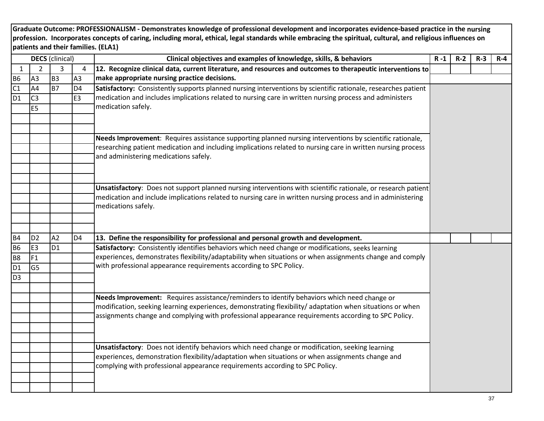| Graduate Outcome: PROFESSIONALISM - Demonstrates knowledge of professional development and incorporates evidence-based practice in the nursing              |
|-------------------------------------------------------------------------------------------------------------------------------------------------------------|
| profession. Incorporates concepts of caring, including moral, ethical, legal standards while embracing the spiritual, cultural, and religious influences on |
| patients and their families. (ELA1)                                                                                                                         |

|                |                | <b>DECS</b> (clinical)<br>Clinical objectives and examples of knowledge, skills, & behaviors |                | $R - 1$                                                                                                                                                                                                                                             | $R-2$ | $R-3$ | $R-4$ |  |
|----------------|----------------|----------------------------------------------------------------------------------------------|----------------|-----------------------------------------------------------------------------------------------------------------------------------------------------------------------------------------------------------------------------------------------------|-------|-------|-------|--|
| 1              | $\overline{2}$ | 3                                                                                            | 4              | 12. Recognize clinical data, current literature, and resources and outcomes to therapeutic interventions to                                                                                                                                         |       |       |       |  |
| <b>B6</b>      | A3             | B <sub>3</sub>                                                                               | A <sub>3</sub> | make appropriate nursing practice decisions.                                                                                                                                                                                                        |       |       |       |  |
| C1             | A4             | <b>B7</b>                                                                                    | D <sub>4</sub> | Satisfactory: Consistently supports planned nursing interventions by scientific rationale, researches patient                                                                                                                                       |       |       |       |  |
| D1             | C <sub>3</sub> |                                                                                              | E <sub>3</sub> | medication and includes implications related to nursing care in written nursing process and administers                                                                                                                                             |       |       |       |  |
|                | E <sub>5</sub> |                                                                                              |                | medication safely.                                                                                                                                                                                                                                  |       |       |       |  |
|                |                |                                                                                              |                |                                                                                                                                                                                                                                                     |       |       |       |  |
|                |                |                                                                                              |                |                                                                                                                                                                                                                                                     |       |       |       |  |
|                |                |                                                                                              |                | Needs Improvement: Requires assistance supporting planned nursing interventions by scientific rationale,                                                                                                                                            |       |       |       |  |
|                |                |                                                                                              |                | researching patient medication and including implications related to nursing care in written nursing process                                                                                                                                        |       |       |       |  |
|                |                |                                                                                              |                | and administering medications safely.                                                                                                                                                                                                               |       |       |       |  |
|                |                |                                                                                              |                |                                                                                                                                                                                                                                                     |       |       |       |  |
|                |                |                                                                                              |                |                                                                                                                                                                                                                                                     |       |       |       |  |
|                |                |                                                                                              |                | Unsatisfactory: Does not support planned nursing interventions with scientific rationale, or research patient<br>medication and include implications related to nursing care in written nursing process and in administering<br>medications safely. |       |       |       |  |
|                |                |                                                                                              |                |                                                                                                                                                                                                                                                     |       |       |       |  |
|                |                |                                                                                              |                |                                                                                                                                                                                                                                                     |       |       |       |  |
|                |                |                                                                                              |                |                                                                                                                                                                                                                                                     |       |       |       |  |
| <b>B4</b>      | D <sub>2</sub> | A2                                                                                           | D <sub>4</sub> | 13. Define the responsibility for professional and personal growth and development.                                                                                                                                                                 |       |       |       |  |
| <b>B6</b>      | E <sub>3</sub> | D <sub>1</sub>                                                                               |                | Satisfactory: Consistently identifies behaviors which need change or modifications, seeks learning                                                                                                                                                  |       |       |       |  |
| B <sub>8</sub> | F <sub>1</sub> |                                                                                              |                | experiences, demonstrates flexibility/adaptability when situations or when assignments change and comply                                                                                                                                            |       |       |       |  |
| D1             | G <sub>5</sub> |                                                                                              |                | with professional appearance requirements according to SPC Policy.                                                                                                                                                                                  |       |       |       |  |
| D <sub>3</sub> |                |                                                                                              |                |                                                                                                                                                                                                                                                     |       |       |       |  |
|                |                |                                                                                              |                |                                                                                                                                                                                                                                                     |       |       |       |  |
|                |                |                                                                                              |                | Needs Improvement: Requires assistance/reminders to identify behaviors which need change or                                                                                                                                                         |       |       |       |  |
|                |                |                                                                                              |                | modification, seeking learning experiences, demonstrating flexibility/ adaptation when situations or when                                                                                                                                           |       |       |       |  |
|                |                |                                                                                              |                | assignments change and complying with professional appearance requirements according to SPC Policy.                                                                                                                                                 |       |       |       |  |
|                |                |                                                                                              |                |                                                                                                                                                                                                                                                     |       |       |       |  |
|                |                |                                                                                              |                |                                                                                                                                                                                                                                                     |       |       |       |  |
|                |                |                                                                                              |                | Unsatisfactory: Does not identify behaviors which need change or modification, seeking learning                                                                                                                                                     |       |       |       |  |
|                |                |                                                                                              |                | experiences, demonstration flexibility/adaptation when situations or when assignments change and                                                                                                                                                    |       |       |       |  |
|                |                |                                                                                              |                | complying with professional appearance requirements according to SPC Policy.                                                                                                                                                                        |       |       |       |  |
|                |                |                                                                                              |                |                                                                                                                                                                                                                                                     |       |       |       |  |
|                |                |                                                                                              |                |                                                                                                                                                                                                                                                     |       |       |       |  |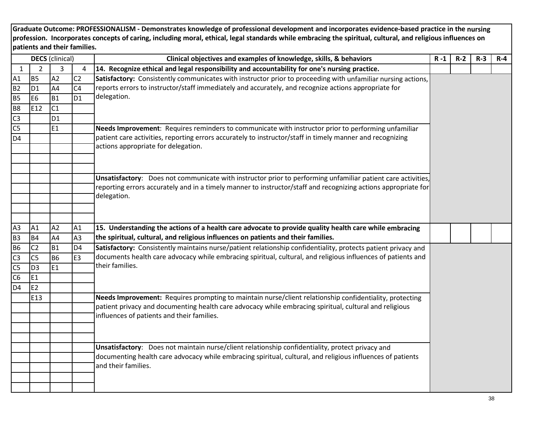**Graduate Outcome: PROFESSIONALISM - Demonstrates knowledge of professional development and incorporates evidence-based practice in the nursing** profession. Incorporates concepts of caring, including moral, ethical, legal standards while embracing the spiritual, cultural, and religious influences on **patients and their families.**

| <b>DECS</b> (clinical) |                |                | Clinical objectives and examples of knowledge, skills, & behaviors |                                                                                                                                   |  |  | $R-4$ |  |
|------------------------|----------------|----------------|--------------------------------------------------------------------|-----------------------------------------------------------------------------------------------------------------------------------|--|--|-------|--|
| 1                      | $\overline{2}$ | 3              | 4                                                                  | 14. Recognize ethical and legal responsibility and accountability for one's nursing practice.                                     |  |  |       |  |
| A1                     | B <sub>5</sub> | A2             | C <sub>2</sub>                                                     | Satisfactory: Consistently communicates with instructor prior to proceeding with unfamiliar nursing actions,                      |  |  |       |  |
| B2                     | <b>D1</b>      | A <sup>4</sup> | C <sub>4</sub>                                                     | reports errors to instructor/staff immediately and accurately, and recognize actions appropriate for                              |  |  |       |  |
| <b>B5</b>              | E <sub>6</sub> | <b>B1</b>      | <b>D1</b>                                                          | delegation.                                                                                                                       |  |  |       |  |
| B <sub>8</sub>         | E12            | C1             |                                                                    |                                                                                                                                   |  |  |       |  |
| C <sub>3</sub>         |                | D <sub>1</sub> |                                                                    |                                                                                                                                   |  |  |       |  |
| C <sub>5</sub>         |                | E1             |                                                                    | Needs Improvement: Requires reminders to communicate with instructor prior to performing unfamiliar                               |  |  |       |  |
| D <sub>4</sub>         |                |                |                                                                    | patient care activities, reporting errors accurately to instructor/staff in timely manner and recognizing                         |  |  |       |  |
|                        |                |                |                                                                    | actions appropriate for delegation.                                                                                               |  |  |       |  |
|                        |                |                |                                                                    |                                                                                                                                   |  |  |       |  |
|                        |                |                |                                                                    |                                                                                                                                   |  |  |       |  |
|                        |                |                |                                                                    | Unsatisfactory: Does not communicate with instructor prior to performing unfamiliar patient care activities,                      |  |  |       |  |
|                        |                |                |                                                                    | reporting errors accurately and in a timely manner to instructor/staff and recognizing actions appropriate for                    |  |  |       |  |
|                        |                |                |                                                                    | delegation.                                                                                                                       |  |  |       |  |
|                        |                |                |                                                                    |                                                                                                                                   |  |  |       |  |
|                        |                |                |                                                                    |                                                                                                                                   |  |  |       |  |
| A3                     | A1             | A2             | A1                                                                 | 15. Understanding the actions of a health care advocate to provide quality health care while embracing                            |  |  |       |  |
| B <sub>3</sub>         | <b>B4</b>      | A4             | A3                                                                 | the spiritual, cultural, and religious influences on patients and their families.                                                 |  |  |       |  |
| <b>B6</b>              | C <sub>2</sub> | <b>B1</b>      | D <sub>4</sub>                                                     | Satisfactory: Consistently maintains nurse/patient relationship confidentiality, protects patient privacy and                     |  |  |       |  |
| C <sub>3</sub>         | C <sub>5</sub> | <b>B6</b>      | E <sub>3</sub>                                                     | documents health care advocacy while embracing spiritual, cultural, and religious influences of patients and                      |  |  |       |  |
| C <sub>5</sub>         | D <sub>3</sub> | E1             |                                                                    | their families.                                                                                                                   |  |  |       |  |
| C <sub>6</sub>         | E1             |                |                                                                    |                                                                                                                                   |  |  |       |  |
| D <sub>4</sub>         | E2             |                |                                                                    |                                                                                                                                   |  |  |       |  |
|                        | E13            |                |                                                                    | Needs Improvement: Requires prompting to maintain nurse/client relationship confidentiality, protecting                           |  |  |       |  |
|                        |                |                |                                                                    | patient privacy and documenting health care advocacy while embracing spiritual, cultural and religious                            |  |  |       |  |
|                        |                |                |                                                                    | influences of patients and their families.                                                                                        |  |  |       |  |
|                        |                |                |                                                                    |                                                                                                                                   |  |  |       |  |
|                        |                |                |                                                                    |                                                                                                                                   |  |  |       |  |
|                        |                |                |                                                                    | Unsatisfactory: Does not maintain nurse/client relationship confidentiality, protect privacy and                                  |  |  |       |  |
|                        |                |                |                                                                    | documenting health care advocacy while embracing spiritual, cultural, and religious influences of patients<br>and their families. |  |  |       |  |
|                        |                |                |                                                                    |                                                                                                                                   |  |  |       |  |
|                        |                |                |                                                                    |                                                                                                                                   |  |  |       |  |
|                        |                |                |                                                                    |                                                                                                                                   |  |  |       |  |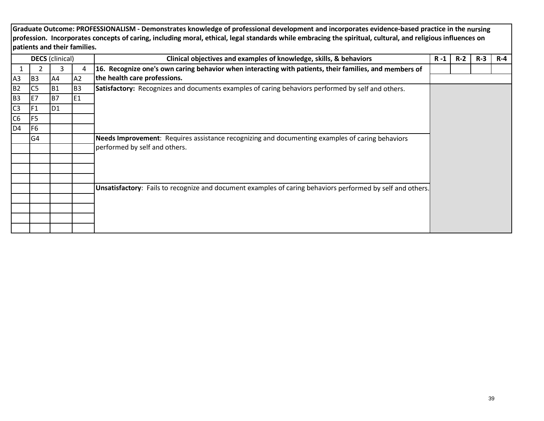| Graduate Outcome: PROFESSIONALISM - Demonstrates knowledge of professional development and incorporates evidence-based practice in the nursing              |  |  |  |  |  |  |  |  |
|-------------------------------------------------------------------------------------------------------------------------------------------------------------|--|--|--|--|--|--|--|--|
| profession. Incorporates concepts of caring, including moral, ethical, legal standards while embracing the spiritual, cultural, and religious influences on |  |  |  |  |  |  |  |  |
| patients and their families.                                                                                                                                |  |  |  |  |  |  |  |  |

|                | <b>DECS</b> (clinical) |                |                | Clinical objectives and examples of knowledge, skills, & behaviors                                                                     |  | $R-2$ | $R-3$ | $R - 4$ |
|----------------|------------------------|----------------|----------------|----------------------------------------------------------------------------------------------------------------------------------------|--|-------|-------|---------|
|                |                        |                | 4              | 16. Recognize one's own caring behavior when interacting with patients, their families, and members of<br>the health care professions. |  |       |       |         |
| A3             | B <sub>3</sub>         | A4             | A2             |                                                                                                                                        |  |       |       |         |
| <b>B2</b>      | C <sub>5</sub>         | B <sub>1</sub> | B <sub>3</sub> | Satisfactory: Recognizes and documents examples of caring behaviors performed by self and others.                                      |  |       |       |         |
| B <sub>3</sub> | IE7                    | B7             | E1             |                                                                                                                                        |  |       |       |         |
| C <sub>3</sub> | IF1                    | D <sub>1</sub> |                |                                                                                                                                        |  |       |       |         |
| C <sub>6</sub> | F <sub>5</sub>         |                |                |                                                                                                                                        |  |       |       |         |
| D <sub>4</sub> | IF <sub>6</sub>        |                |                |                                                                                                                                        |  |       |       |         |
|                | G <sub>4</sub>         |                |                | Needs Improvement: Requires assistance recognizing and documenting examples of caring behaviors                                        |  |       |       |         |
|                |                        |                |                | performed by self and others.                                                                                                          |  |       |       |         |
|                |                        |                |                |                                                                                                                                        |  |       |       |         |
|                |                        |                |                |                                                                                                                                        |  |       |       |         |
|                |                        |                |                |                                                                                                                                        |  |       |       |         |
|                |                        |                |                | Unsatisfactory: Fails to recognize and document examples of caring behaviors performed by self and others.                             |  |       |       |         |
|                |                        |                |                |                                                                                                                                        |  |       |       |         |
|                |                        |                |                |                                                                                                                                        |  |       |       |         |
|                |                        |                |                |                                                                                                                                        |  |       |       |         |
|                |                        |                |                |                                                                                                                                        |  |       |       |         |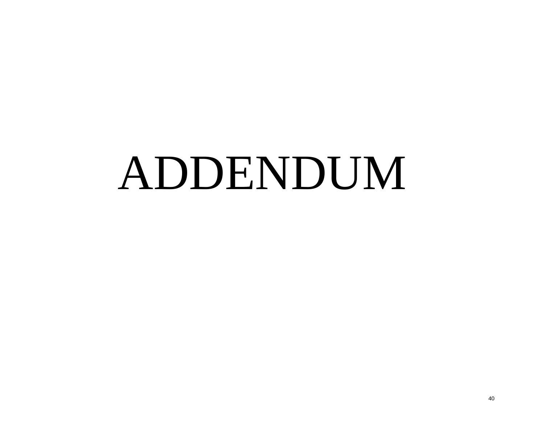# ADDENDUM